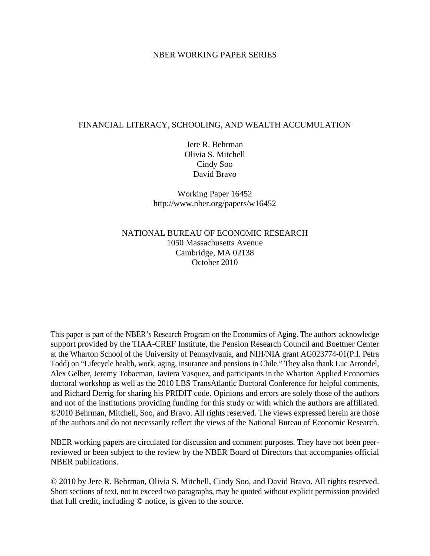### NBER WORKING PAPER SERIES

### FINANCIAL LITERACY, SCHOOLING, AND WEALTH ACCUMULATION

Jere R. Behrman Olivia S. Mitchell Cindy Soo David Bravo

Working Paper 16452 http://www.nber.org/papers/w16452

NATIONAL BUREAU OF ECONOMIC RESEARCH 1050 Massachusetts Avenue Cambridge, MA 02138 October 2010

This paper is part of the NBER's Research Program on the Economics of Aging. The authors acknowledge support provided by the TIAA-CREF Institute, the Pension Research Council and Boettner Center at the Wharton School of the University of Pennsylvania, and NIH/NIA grant AG023774-01(P.I. Petra Todd) on "Lifecycle health, work, aging, insurance and pensions in Chile." They also thank Luc Arrondel, Alex Gelber, Jeremy Tobacman, Javiera Vasquez, and participants in the Wharton Applied Economics doctoral workshop as well as the 2010 LBS TransAtlantic Doctoral Conference for helpful comments, and Richard Derrig for sharing his PRIDIT code. Opinions and errors are solely those of the authors and not of the institutions providing funding for this study or with which the authors are affiliated. ©2010 Behrman, Mitchell, Soo, and Bravo. All rights reserved. The views expressed herein are those of the authors and do not necessarily reflect the views of the National Bureau of Economic Research.

NBER working papers are circulated for discussion and comment purposes. They have not been peerreviewed or been subject to the review by the NBER Board of Directors that accompanies official NBER publications.

© 2010 by Jere R. Behrman, Olivia S. Mitchell, Cindy Soo, and David Bravo. All rights reserved. Short sections of text, not to exceed two paragraphs, may be quoted without explicit permission provided that full credit, including © notice, is given to the source.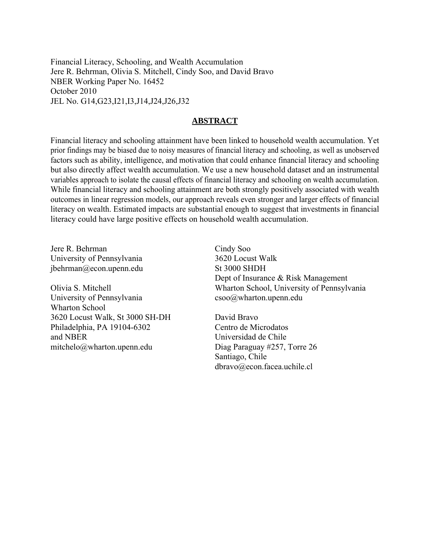Financial Literacy, Schooling, and Wealth Accumulation Jere R. Behrman, Olivia S. Mitchell, Cindy Soo, and David Bravo NBER Working Paper No. 16452 October 2010 JEL No. G14,G23,I21,I3,J14,J24,J26,J32

### **ABSTRACT**

Financial literacy and schooling attainment have been linked to household wealth accumulation. Yet prior findings may be biased due to noisy measures of financial literacy and schooling, as well as unobserved factors such as ability, intelligence, and motivation that could enhance financial literacy and schooling but also directly affect wealth accumulation. We use a new household dataset and an instrumental variables approach to isolate the causal effects of financial literacy and schooling on wealth accumulation. While financial literacy and schooling attainment are both strongly positively associated with wealth outcomes in linear regression models, our approach reveals even stronger and larger effects of financial literacy on wealth. Estimated impacts are substantial enough to suggest that investments in financial literacy could have large positive effects on household wealth accumulation.

Jere R. Behrman University of Pennsylvania jbehrman@econ.upenn.edu

Olivia S. Mitchell University of Pennsylvania Wharton School 3620 Locust Walk, St 3000 SH-DH Philadelphia, PA 19104-6302 and NBER mitchelo@wharton.upenn.edu

Cindy Soo 3620 Locust Walk St 3000 SHDH Dept of Insurance & Risk Management Wharton School, University of Pennsylvania csoo@wharton.upenn.edu

David Bravo Centro de Microdatos Universidad de Chile Diag Paraguay #257, Torre 26 Santiago, Chile dbravo@econ.facea.uchile.cl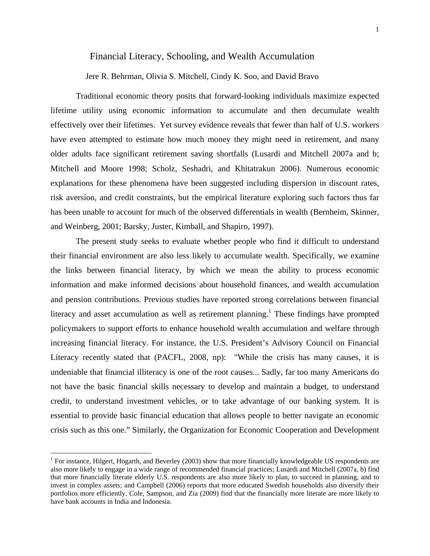### Financial Literacy, Schooling, and Wealth Accumulation

### Jere R. Behrman, Olivia S. Mitchell, Cindy K. Soo, and David Bravo

Traditional economic theory posits that forward-looking individuals maximize expected lifetime utility using economic information to accumulate and then decumulate wealth effectively over their lifetimes. Yet survey evidence reveals that fewer than half of U.S. workers have even attempted to estimate how much money they might need in retirement, and many older adults face significant retirement saving shortfalls (Lusardi and Mitchell 2007a and b; Mitchell and Moore 1998; Scholz, Seshadri, and Khitatrakun 2006). Numerous economic explanations for these phenomena have been suggested including dispersion in discount rates, risk aversion, and credit constraints, but the empirical literature exploring such factors thus far has been unable to account for much of the observed differentials in wealth (Bernheim, Skinner, and Weinberg, 2001; Barsky, Juster, Kimball, and Shapiro, 1997).

The present study seeks to evaluate whether people who find it difficult to understand their financial environment are also less likely to accumulate wealth. Specifically, we examine the links between financial literacy, by which we mean the ability to process economic information and make informed decisions about household finances, and wealth accumulation and pension contributions. Previous studies have reported strong correlations between financial literacy and asset accumulation as well as retirement planning.<sup>1</sup> These findings have prompted policymakers to support efforts to enhance household wealth accumulation and welfare through increasing financial literacy. For instance, the U.S. President's Advisory Council on Financial Literacy recently stated that (PACFL, 2008, np): "While the crisis has many causes, it is undeniable that financial illiteracy is one of the root causes... Sadly, far too many Americans do not have the basic financial skills necessary to develop and maintain a budget, to understand credit, to understand investment vehicles, or to take advantage of our banking system. It is essential to provide basic financial education that allows people to better navigate an economic crisis such as this one." Similarly, the Organization for Economic Cooperation and Development

 $\overline{a}$ 

<sup>&</sup>lt;sup>1</sup> For instance, Hilgert, Hogarth, and Beverley (2003) show that more financially knowledgeable US respondents are also more likely to engage in a wide range of recommended financial practices; Lusardi and Mitchell (2007a, b) find that more financially literate elderly U.S. respondents are also more likely to plan, to succeed in planning, and to invest in complex assets; and Campbell (2006) reports that more educated Swedish households also diversify their portfolios more efficiently. Cole, Sampson, and Zia (2009) find that the financially more literate are more likely to have bank accounts in India and Indonesia.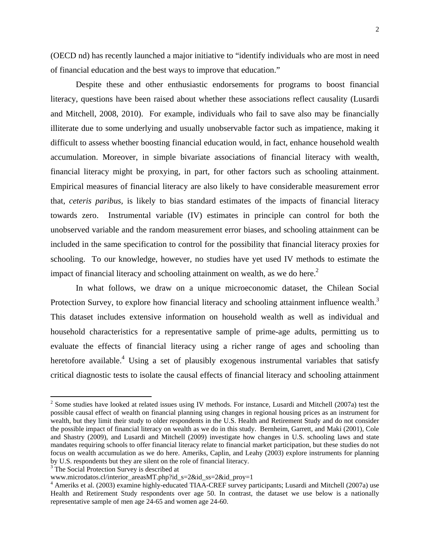(OECD nd) has recently launched a major initiative to "identify individuals who are most in need of financial education and the best ways to improve that education."

Despite these and other enthusiastic endorsements for programs to boost financial literacy, questions have been raised about whether these associations reflect causality (Lusardi and Mitchell, 2008, 2010). For example, individuals who fail to save also may be financially illiterate due to some underlying and usually unobservable factor such as impatience, making it difficult to assess whether boosting financial education would, in fact, enhance household wealth accumulation. Moreover, in simple bivariate associations of financial literacy with wealth, financial literacy might be proxying, in part, for other factors such as schooling attainment. Empirical measures of financial literacy are also likely to have considerable measurement error that, *ceteris paribus,* is likely to bias standard estimates of the impacts of financial literacy towards zero. Instrumental variable (IV) estimates in principle can control for both the unobserved variable and the random measurement error biases, and schooling attainment can be included in the same specification to control for the possibility that financial literacy proxies for schooling. To our knowledge, however, no studies have yet used IV methods to estimate the impact of financial literacy and schooling attainment on wealth, as we do here. $2$ 

In what follows, we draw on a unique microeconomic dataset, the Chilean Social Protection Survey, to explore how financial literacy and schooling attainment influence wealth.<sup>3</sup> This dataset includes extensive information on household wealth as well as individual and household characteristics for a representative sample of prime-age adults, permitting us to evaluate the effects of financial literacy using a richer range of ages and schooling than heretofore available.<sup>4</sup> Using a set of plausibly exogenous instrumental variables that satisfy critical diagnostic tests to isolate the causal effects of financial literacy and schooling attainment

1

 $2^{2}$  Some studies have looked at related issues using IV methods. For instance, Lusardi and Mitchell (2007a) test the possible causal effect of wealth on financial planning using changes in regional housing prices as an instrument for wealth, but they limit their study to older respondents in the U.S. Health and Retirement Study and do not consider the possible impact of financial literacy on wealth as we do in this study. Bernheim, Garrett, and Maki (2001), Cole and Shastry (2009), and Lusardi and Mitchell (2009) investigate how changes in U.S. schooling laws and state mandates requiring schools to offer financial literacy relate to financial market participation, but these studies do not focus on wealth accumulation as we do here. Ameriks, Caplin, and Leahy (2003) explore instruments for planning by U.S. respondents but they are silent on the role of financial literacy.

<sup>&</sup>lt;sup>3</sup> The Social Protection Survey is described at

www.microdatos.cl/interior\_areasMT.php?id\_s=2&id\_ss=2&id\_proy=1

<sup>&</sup>lt;sup>4</sup> Ameriks et al. (2003) examine highly-educated TIAA-CREF survey participants; Lusardi and Mitchell (2007a) use Health and Retirement Study respondents over age 50. In contrast, the dataset we use below is a nationally representative sample of men age 24-65 and women age 24-60.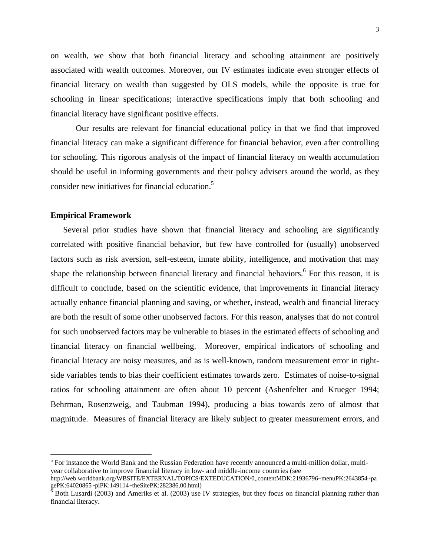on wealth, we show that both financial literacy and schooling attainment are positively associated with wealth outcomes. Moreover, our IV estimates indicate even stronger effects of financial literacy on wealth than suggested by OLS models, while the opposite is true for schooling in linear specifications; interactive specifications imply that both schooling and financial literacy have significant positive effects.

Our results are relevant for financial educational policy in that we find that improved financial literacy can make a significant difference for financial behavior, even after controlling for schooling. This rigorous analysis of the impact of financial literacy on wealth accumulation should be useful in informing governments and their policy advisers around the world, as they consider new initiatives for financial education.<sup>5</sup>

### **Empirical Framework**

 $\overline{a}$ 

 Several prior studies have shown that financial literacy and schooling are significantly correlated with positive financial behavior, but few have controlled for (usually) unobserved factors such as risk aversion, self-esteem, innate ability, intelligence, and motivation that may shape the relationship between financial literacy and financial behaviors. <sup>6</sup> For this reason, it is difficult to conclude, based on the scientific evidence, that improvements in financial literacy actually enhance financial planning and saving, or whether, instead, wealth and financial literacy are both the result of some other unobserved factors. For this reason, analyses that do not control for such unobserved factors may be vulnerable to biases in the estimated effects of schooling and financial literacy on financial wellbeing. Moreover, empirical indicators of schooling and financial literacy are noisy measures, and as is well-known, random measurement error in rightside variables tends to bias their coefficient estimates towards zero. Estimates of noise-to-signal ratios for schooling attainment are often about 10 percent (Ashenfelter and Krueger 1994; Behrman, Rosenzweig, and Taubman 1994), producing a bias towards zero of almost that magnitude. Measures of financial literacy are likely subject to greater measurement errors, and

 $<sup>5</sup>$  For instance the World Bank and the Russian Federation have recently announced a multi-million dollar, multi-</sup> year collaborative to improve financial literacy in low- and middle-income countries (see

http://web.worldbank.org/WBSITE/EXTERNAL/TOPICS/EXTEDUCATION/0,,contentMDK:21936796~menuPK:2643854~pa gePK:64020865~piPK:149114~theSitePK:282386,00.html)<br><sup>6</sup> Both Lusardi (2003) and Ameriks et al. (2003) use IV strategies, but they focus on financial planning rather than

financial literacy.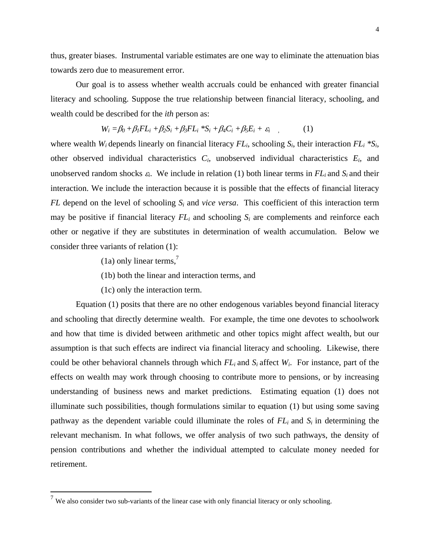thus, greater biases. Instrumental variable estimates are one way to eliminate the attenuation bias towards zero due to measurement error.

Our goal is to assess whether wealth accruals could be enhanced with greater financial literacy and schooling. Suppose the true relationship between financial literacy, schooling, and wealth could be described for the *ith* person as:

$$
W_i = \beta_0 + \beta_1 FL_i + \beta_2 S_i + \beta_3 FL_i * S_i + \beta_4 C_i + \beta_5 E_i + \varepsilon_i
$$
 (1)

where wealth  $W_i$  depends linearly on financial literacy  $FL_i$ , schooling  $S_i$ , their interaction  $FL_i * S_i$ , other observed individual characteristics *Ci*, unobserved individual characteristics *Ei,* and unobserved random shocks  $\varepsilon_i$ . We include in relation (1) both linear terms in  $FL_i$  and  $S_i$  and their interaction. We include the interaction because it is possible that the effects of financial literacy *FL* depend on the level of schooling *Si* and *vice versa*. This coefficient of this interaction term may be positive if financial literacy  $FL_i$  and schooling  $S_i$  are complements and reinforce each other or negative if they are substitutes in determination of wealth accumulation. Below we consider three variants of relation (1):

(1a) only linear terms, $^7$ 

 $\overline{a}$ 

- (1b) both the linear and interaction terms, and
- (1c) only the interaction term.

 Equation (1) posits that there are no other endogenous variables beyond financial literacy and schooling that directly determine wealth. For example, the time one devotes to schoolwork and how that time is divided between arithmetic and other topics might affect wealth, but our assumption is that such effects are indirect via financial literacy and schooling. Likewise, there could be other behavioral channels through which *FLi* and *Si* affect *Wi*. For instance, part of the effects on wealth may work through choosing to contribute more to pensions, or by increasing understanding of business news and market predictions. Estimating equation (1) does not illuminate such possibilities, though formulations similar to equation (1) but using some saving pathway as the dependent variable could illuminate the roles of  $FL_i$  and  $S_i$  in determining the relevant mechanism. In what follows, we offer analysis of two such pathways, the density of pension contributions and whether the individual attempted to calculate money needed for retirement.

 $7$  We also consider two sub-variants of the linear case with only financial literacy or only schooling.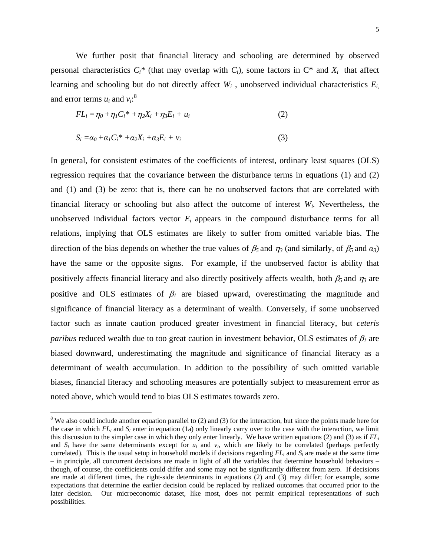We further posit that financial literacy and schooling are determined by observed personal characteristics  $C_i^*$  (that may overlap with  $C_i$ ), some factors in  $C^*$  and  $X_i$  that affect learning and schooling but do not directly affect *Wi* , unobserved individual characteristics *Ei*, and error terms  $u_i$  and  $v_i$ :<sup>8</sup>

$$
FL_i = \eta_0 + \eta_1 C_i^* + \eta_2 X_i + \eta_3 E_i + u_i \tag{2}
$$

$$
S_i = \alpha_0 + \alpha_1 C_i^* + \alpha_2 X_i + \alpha_3 E_i + v_i \tag{3}
$$

In general, for consistent estimates of the coefficients of interest, ordinary least squares (OLS) regression requires that the covariance between the disturbance terms in equations (1) and (2) and (1) and (3) be zero: that is, there can be no unobserved factors that are correlated with financial literacy or schooling but also affect the outcome of interest *Wi.* Nevertheless, the unobserved individual factors vector  $E_i$  appears in the compound disturbance terms for all relations, implying that OLS estimates are likely to suffer from omitted variable bias. The direction of the bias depends on whether the true values of  $\beta_5$  and  $\eta_3$  (and similarly, of  $\beta_5$  and  $\alpha_3$ ) have the same or the opposite signs. For example, if the unobserved factor is ability that positively affects financial literacy and also directly positively affects wealth, both  $\beta_5$  and  $\eta_3$  are positive and OLS estimates of  $\beta_l$  are biased upward, overestimating the magnitude and significance of financial literacy as a determinant of wealth. Conversely, if some unobserved factor such as innate caution produced greater investment in financial literacy, but *ceteris paribus* reduced wealth due to too great caution in investment behavior, OLS estimates of  $\beta_l$  are biased downward, underestimating the magnitude and significance of financial literacy as a determinant of wealth accumulation. In addition to the possibility of such omitted variable biases, financial literacy and schooling measures are potentially subject to measurement error as noted above, which would tend to bias OLS estimates towards zero.

1

 $8$  We also could include another equation parallel to (2) and (3) for the interaction, but since the points made here for the case in which  $FL_i$  and  $S_i$  enter in equation (1a) only linearly carry over to the case with the interaction, we limit this discussion to the simpler case in which they only enter linearly. We have written equations (2) and (3) as if *FLi* and  $S_i$  have the same determinants except for  $u_i$  and  $v_i$ , which are likely to be correlated (perhaps perfectly correlated). This is the usual setup in household models if decisions regarding  $FL_i$  and  $S_i$  are made at the same time – in principle, all concurrent decisions are made in light of all the variables that determine household behaviors – though, of course, the coefficients could differ and some may not be significantly different from zero. If decisions are made at different times, the right-side determinants in equations (2) and (3) may differ; for example, some expectations that determine the earlier decision could be replaced by realized outcomes that occurred prior to the later decision. Our microeconomic dataset, like most, does not permit empirical representations of such possibilities.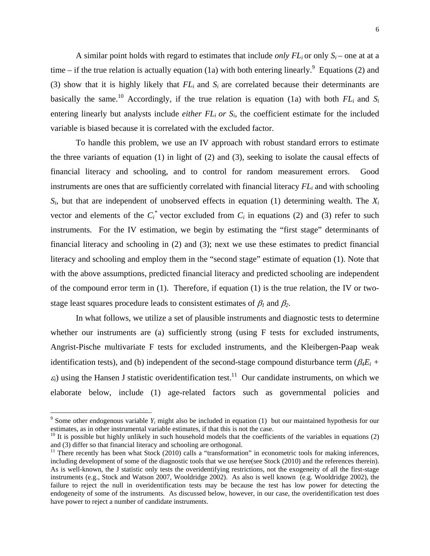A similar point holds with regard to estimates that include *only*  $FL_i$  or only  $S_i$  – one at at a time – if the true relation is actually equation (1a) with both entering linearly. Equations (2) and (3) show that it is highly likely that  $FL_i$  and  $S_i$  are correlated because their determinants are basically the same.<sup>10</sup> Accordingly, if the true relation is equation (1a) with both  $FL_i$  and  $S_i$ entering linearly but analysts include *either FLi or Si*, the coefficient estimate for the included variable is biased because it is correlated with the excluded factor.

To handle this problem, we use an IV approach with robust standard errors to estimate the three variants of equation (1) in light of (2) and (3), seeking to isolate the causal effects of financial literacy and schooling, and to control for random measurement errors. Good instruments are ones that are sufficiently correlated with financial literacy *FLi* and with schooling  $S_i$ , but that are independent of unobserved effects in equation (1) determining wealth. The  $X_i$ vector and elements of the  $C_i^*$  vector excluded from  $C_i$  in equations (2) and (3) refer to such instruments. For the IV estimation, we begin by estimating the "first stage" determinants of financial literacy and schooling in (2) and (3); next we use these estimates to predict financial literacy and schooling and employ them in the "second stage" estimate of equation (1). Note that with the above assumptions, predicted financial literacy and predicted schooling are independent of the compound error term in (1). Therefore, if equation (1) is the true relation, the IV or twostage least squares procedure leads to consistent estimates of  $\beta_1$  and  $\beta_2$ .

In what follows, we utilize a set of plausible instruments and diagnostic tests to determine whether our instruments are (a) sufficiently strong (using F tests for excluded instruments, Angrist-Pische multivariate F tests for excluded instruments, and the Kleibergen-Paap weak identification tests), and (b) independent of the second-stage compound disturbance term  $(\beta_4 E_i +$  $\epsilon_i$ ) using the Hansen J statistic overidentification test.<sup>11</sup> Our candidate instruments, on which we elaborate below, include (1) age-related factors such as governmental policies and

 $\overline{a}$ 

<sup>&</sup>lt;sup>9</sup> Some other endogenous variable  $Y_i$  might also be included in equation (1) but our maintained hypothesis for our estimates, as in other instrumental variable estimates, if that this is not the case.

 $10$  It is possible but highly unlikely in such household models that the coefficients of the variables in equations (2) and (3) differ so that financial literacy and schooling are orthogonal.

 $11$  There recently has been what Stock (2010) calls a "transformation" in econometric tools for making inferences, including development of some of the diagnostic tools that we use here(see Stock (2010) and the references therein). As is well-known, the J statistic only tests the overidentifying restrictions, not the exogeneity of all the first-stage instruments (e.g., Stock and Watson 2007, Wooldridge 2002). As also is well known (e.g. Wooldridge 2002), the failure to reject the null in overidentification tests may be because the test has low power for detecting the endogeneity of some of the instruments. As discussed below, however, in our case, the overidentification test does have power to reject a number of candidate instruments.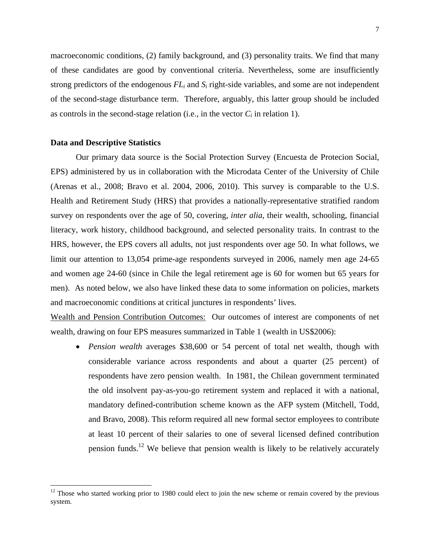macroeconomic conditions, (2) family background, and (3) personality traits. We find that many of these candidates are good by conventional criteria. Nevertheless, some are insufficiently strong predictors of the endogenous *FLi* and *Si* right-side variables, and some are not independent of the second-stage disturbance term. Therefore, arguably, this latter group should be included as controls in the second-stage relation (i.e., in the vector  $C_i$  in relation 1).

### **Data and Descriptive Statistics**

 $\overline{a}$ 

Our primary data source is the Social Protection Survey (Encuesta de Protecion Social, EPS) administered by us in collaboration with the Microdata Center of the University of Chile (Arenas et al., 2008; Bravo et al. 2004, 2006, 2010). This survey is comparable to the U.S. Health and Retirement Study (HRS) that provides a nationally-representative stratified random survey on respondents over the age of 50, covering, *inter alia,* their wealth, schooling, financial literacy, work history, childhood background, and selected personality traits. In contrast to the HRS, however, the EPS covers all adults, not just respondents over age 50. In what follows, we limit our attention to 13,054 prime-age respondents surveyed in 2006, namely men age 24-65 and women age 24-60 (since in Chile the legal retirement age is 60 for women but 65 years for men). As noted below, we also have linked these data to some information on policies, markets and macroeconomic conditions at critical junctures in respondents' lives.

Wealth and Pension Contribution Outcomes:Our outcomes of interest are components of net wealth, drawing on four EPS measures summarized in Table 1 (wealth in US\$2006):

 *Pension wealth* averages \$38,600 or 54 percent of total net wealth, though with considerable variance across respondents and about a quarter (25 percent) of respondents have zero pension wealth. In 1981, the Chilean government terminated the old insolvent pay-as-you-go retirement system and replaced it with a national, mandatory defined-contribution scheme known as the AFP system (Mitchell, Todd, and Bravo, 2008). This reform required all new formal sector employees to contribute at least 10 percent of their salaries to one of several licensed defined contribution pension funds.<sup>12</sup> We believe that pension wealth is likely to be relatively accurately

 $12$  Those who started working prior to 1980 could elect to join the new scheme or remain covered by the previous system.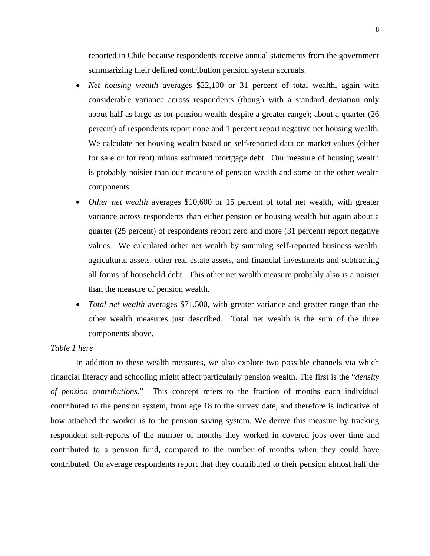reported in Chile because respondents receive annual statements from the government summarizing their defined contribution pension system accruals.

- *Net housing wealth* averages \$22,100 or 31 percent of total wealth, again with considerable variance across respondents (though with a standard deviation only about half as large as for pension wealth despite a greater range); about a quarter (26 percent) of respondents report none and 1 percent report negative net housing wealth. We calculate net housing wealth based on self-reported data on market values (either for sale or for rent) minus estimated mortgage debt. Our measure of housing wealth is probably noisier than our measure of pension wealth and some of the other wealth components.
- *Other net wealth* averages \$10,600 or 15 percent of total net wealth, with greater variance across respondents than either pension or housing wealth but again about a quarter (25 percent) of respondents report zero and more (31 percent) report negative values. We calculated other net wealth by summing self-reported business wealth, agricultural assets, other real estate assets, and financial investments and subtracting all forms of household debt. This other net wealth measure probably also is a noisier than the measure of pension wealth.
- *Total net wealth* averages \$71,500, with greater variance and greater range than the other wealth measures just described. Total net wealth is the sum of the three components above.

### *Table 1 here*

In addition to these wealth measures, we also explore two possible channels via which financial literacy and schooling might affect particularly pension wealth. The first is the "*density of pension contributions*." This concept refers to the fraction of months each individual contributed to the pension system, from age 18 to the survey date, and therefore is indicative of how attached the worker is to the pension saving system. We derive this measure by tracking respondent self-reports of the number of months they worked in covered jobs over time and contributed to a pension fund, compared to the number of months when they could have contributed. On average respondents report that they contributed to their pension almost half the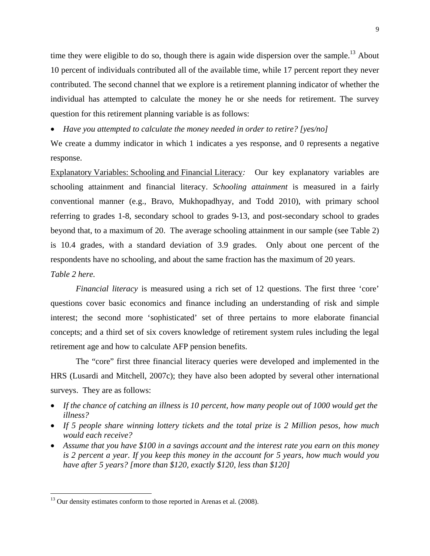time they were eligible to do so, though there is again wide dispersion over the sample.<sup>13</sup> About 10 percent of individuals contributed all of the available time, while 17 percent report they never contributed. The second channel that we explore is a retirement planning indicator of whether the individual has attempted to calculate the money he or she needs for retirement. The survey question for this retirement planning variable is as follows:

*Have you attempted to calculate the money needed in order to retire? [yes/no]* 

We create a dummy indicator in which 1 indicates a yes response, and 0 represents a negative response.

Explanatory Variables: Schooling and Financial Literacy: Our key explanatory variables are schooling attainment and financial literacy. *Schooling attainment* is measured in a fairly conventional manner (e.g., Bravo, Mukhopadhyay, and Todd 2010), with primary school referring to grades 1-8, secondary school to grades 9-13, and post-secondary school to grades beyond that, to a maximum of 20. The average schooling attainment in our sample (see Table 2) is 10.4 grades, with a standard deviation of 3.9 grades. Only about one percent of the respondents have no schooling, and about the same fraction has the maximum of 20 years.

## *Table 2 here.*

 $\overline{a}$ 

*Financial literacy* is measured using a rich set of 12 questions. The first three 'core' questions cover basic economics and finance including an understanding of risk and simple interest; the second more 'sophisticated' set of three pertains to more elaborate financial concepts; and a third set of six covers knowledge of retirement system rules including the legal retirement age and how to calculate AFP pension benefits.

The "core" first three financial literacy queries were developed and implemented in the HRS (Lusardi and Mitchell, 2007c); they have also been adopted by several other international surveys. They are as follows:

- *If the chance of catching an illness is 10 percent, how many people out of 1000 would get the illness?*
- *If 5 people share winning lottery tickets and the total prize is 2 Million pesos, how much would each receive?*
- *Assume that you have \$100 in a savings account and the interest rate you earn on this money is 2 percent a year. If you keep this money in the account for 5 years, how much would you have after 5 years? [more than \$120, exactly \$120, less than \$120]*

 $13$  Our density estimates conform to those reported in Arenas et al. (2008).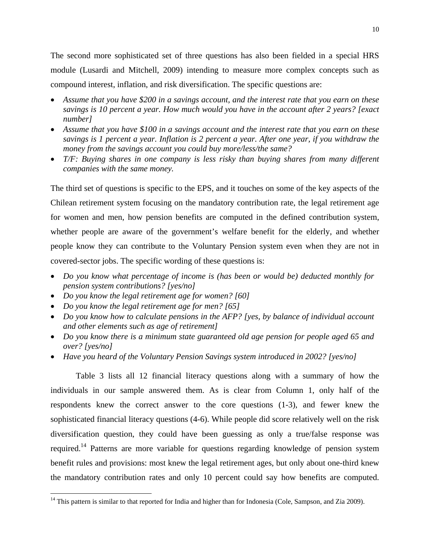The second more sophisticated set of three questions has also been fielded in a special HRS module (Lusardi and Mitchell, 2009) intending to measure more complex concepts such as compound interest, inflation, and risk diversification. The specific questions are:

- *Assume that you have \$200 in a savings account, and the interest rate that you earn on these savings is 10 percent a year. How much would you have in the account after 2 years? [exact number]*
- *Assume that you have \$100 in a savings account and the interest rate that you earn on these savings is 1 percent a year. Inflation is 2 percent a year. After one year, if you withdraw the money from the savings account you could buy more/less/the same?*
- *T/F: Buying shares in one company is less risky than buying shares from many different companies with the same money.*

The third set of questions is specific to the EPS, and it touches on some of the key aspects of the Chilean retirement system focusing on the mandatory contribution rate, the legal retirement age for women and men, how pension benefits are computed in the defined contribution system, whether people are aware of the government's welfare benefit for the elderly, and whether people know they can contribute to the Voluntary Pension system even when they are not in covered-sector jobs. The specific wording of these questions is:

- *Do you know what percentage of income is (has been or would be) deducted monthly for pension system contributions? [yes/no]*
- *Do you know the legal retirement age for women? [60]*
- *Do you know the legal retirement age for men? [65]*

 $\overline{a}$ 

- *Do you know how to calculate pensions in the AFP? [yes, by balance of individual account and other elements such as age of retirement]*
- *Do you know there is a minimum state guaranteed old age pension for people aged 65 and over? [yes/no]*
- Have you heard of the Voluntary Pension Savings system introduced in 2002? [yes/no]

Table 3 lists all 12 financial literacy questions along with a summary of how the individuals in our sample answered them. As is clear from Column 1, only half of the respondents knew the correct answer to the core questions (1-3), and fewer knew the sophisticated financial literacy questions (4-6). While people did score relatively well on the risk diversification question, they could have been guessing as only a true/false response was required.14 Patterns are more variable for questions regarding knowledge of pension system benefit rules and provisions: most knew the legal retirement ages, but only about one-third knew the mandatory contribution rates and only 10 percent could say how benefits are computed.

<sup>&</sup>lt;sup>14</sup> This pattern is similar to that reported for India and higher than for Indonesia (Cole, Sampson, and Zia 2009).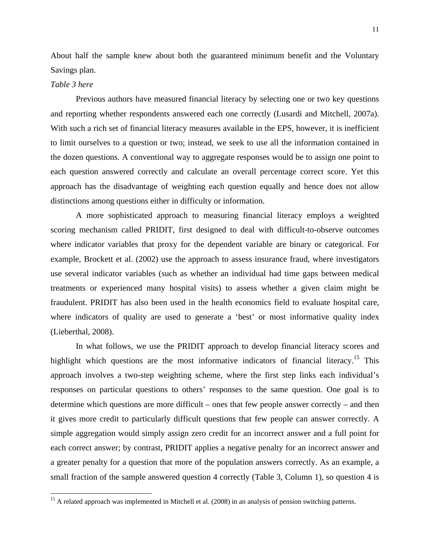About half the sample knew about both the guaranteed minimum benefit and the Voluntary Savings plan.

### *Table 3 here*

<u>.</u>

Previous authors have measured financial literacy by selecting one or two key questions and reporting whether respondents answered each one correctly (Lusardi and Mitchell, 2007a). With such a rich set of financial literacy measures available in the EPS, however, it is inefficient to limit ourselves to a question or two; instead, we seek to use all the information contained in the dozen questions. A conventional way to aggregate responses would be to assign one point to each question answered correctly and calculate an overall percentage correct score. Yet this approach has the disadvantage of weighting each question equally and hence does not allow distinctions among questions either in difficulty or information.

A more sophisticated approach to measuring financial literacy employs a weighted scoring mechanism called PRIDIT, first designed to deal with difficult-to-observe outcomes where indicator variables that proxy for the dependent variable are binary or categorical. For example, Brockett et al. (2002) use the approach to assess insurance fraud, where investigators use several indicator variables (such as whether an individual had time gaps between medical treatments or experienced many hospital visits) to assess whether a given claim might be fraudulent. PRIDIT has also been used in the health economics field to evaluate hospital care, where indicators of quality are used to generate a 'best' or most informative quality index (Lieberthal, 2008).

In what follows, we use the PRIDIT approach to develop financial literacy scores and highlight which questions are the most informative indicators of financial literacy.<sup>15</sup> This approach involves a two-step weighting scheme, where the first step links each individual's responses on particular questions to others' responses to the same question. One goal is to determine which questions are more difficult – ones that few people answer correctly – and then it gives more credit to particularly difficult questions that few people can answer correctly. A simple aggregation would simply assign zero credit for an incorrect answer and a full point for each correct answer; by contrast, PRIDIT applies a negative penalty for an incorrect answer and a greater penalty for a question that more of the population answers correctly. As an example, a small fraction of the sample answered question 4 correctly (Table 3, Column 1), so question 4 is

<sup>&</sup>lt;sup>15</sup> A related approach was implemented in Mitchell et al. (2008) in an analysis of pension switching patterns.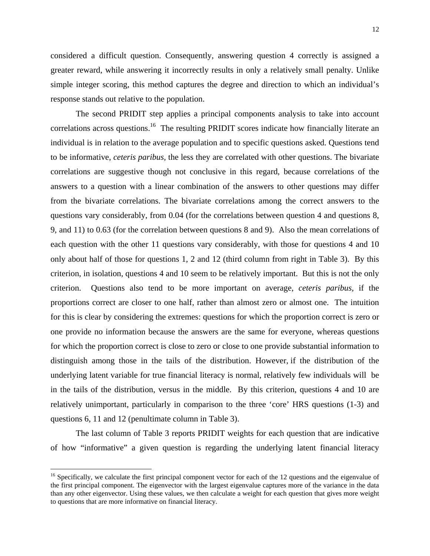considered a difficult question. Consequently, answering question 4 correctly is assigned a greater reward, while answering it incorrectly results in only a relatively small penalty. Unlike simple integer scoring, this method captures the degree and direction to which an individual's response stands out relative to the population.

The second PRIDIT step applies a principal components analysis to take into account correlations across questions.<sup>16</sup> The resulting PRIDIT scores indicate how financially literate an individual is in relation to the average population and to specific questions asked. Questions tend to be informative, *ceteris paribus,* the less they are correlated with other questions. The bivariate correlations are suggestive though not conclusive in this regard, because correlations of the answers to a question with a linear combination of the answers to other questions may differ from the bivariate correlations. The bivariate correlations among the correct answers to the questions vary considerably, from 0.04 (for the correlations between question 4 and questions 8, 9, and 11) to 0.63 (for the correlation between questions 8 and 9). Also the mean correlations of each question with the other 11 questions vary considerably, with those for questions 4 and 10 only about half of those for questions 1, 2 and 12 (third column from right in Table 3). By this criterion, in isolation, questions 4 and 10 seem to be relatively important. But this is not the only criterion. Questions also tend to be more important on average, *ceteris paribus,* if the proportions correct are closer to one half, rather than almost zero or almost one. The intuition for this is clear by considering the extremes: questions for which the proportion correct is zero or one provide no information because the answers are the same for everyone, whereas questions for which the proportion correct is close to zero or close to one provide substantial information to distinguish among those in the tails of the distribution. However, if the distribution of the underlying latent variable for true financial literacy is normal, relatively few individuals will be in the tails of the distribution, versus in the middle. By this criterion, questions 4 and 10 are relatively unimportant, particularly in comparison to the three 'core' HRS questions (1-3) and questions 6, 11 and 12 (penultimate column in Table 3).

The last column of Table 3 reports PRIDIT weights for each question that are indicative of how "informative" a given question is regarding the underlying latent financial literacy

 $\overline{a}$ 

 $16$  Specifically, we calculate the first principal component vector for each of the 12 questions and the eigenvalue of the first principal component. The eigenvector with the largest eigenvalue captures more of the variance in the data than any other eigenvector. Using these values, we then calculate a weight for each question that gives more weight to questions that are more informative on financial literacy.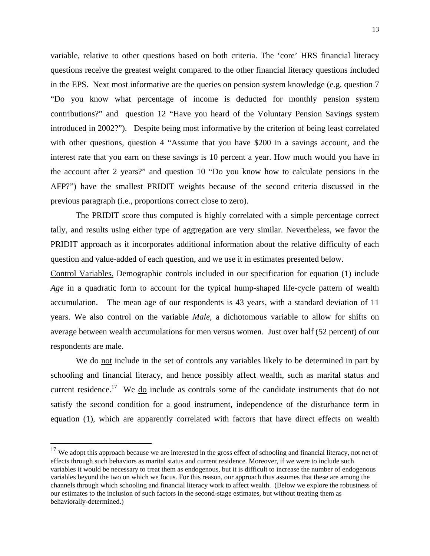variable, relative to other questions based on both criteria. The 'core' HRS financial literacy questions receive the greatest weight compared to the other financial literacy questions included in the EPS. Next most informative are the queries on pension system knowledge (e.g. question 7 "Do you know what percentage of income is deducted for monthly pension system contributions?" and question 12 "Have you heard of the Voluntary Pension Savings system introduced in 2002?"). Despite being most informative by the criterion of being least correlated with other questions, question 4 "Assume that you have \$200 in a savings account, and the interest rate that you earn on these savings is 10 percent a year. How much would you have in the account after 2 years?" and question 10 "Do you know how to calculate pensions in the AFP?") have the smallest PRIDIT weights because of the second criteria discussed in the previous paragraph (i.e., proportions correct close to zero).

The PRIDIT score thus computed is highly correlated with a simple percentage correct tally, and results using either type of aggregation are very similar. Nevertheless, we favor the PRIDIT approach as it incorporates additional information about the relative difficulty of each question and value-added of each question, and we use it in estimates presented below.

Control Variables. Demographic controls included in our specification for equation (1) include *Age* in a quadratic form to account for the typical hump-shaped life-cycle pattern of wealth accumulation. The mean age of our respondents is 43 years, with a standard deviation of 11 years. We also control on the variable *Male*, a dichotomous variable to allow for shifts on average between wealth accumulations for men versus women. Just over half (52 percent) of our respondents are male.

 We do not include in the set of controls any variables likely to be determined in part by schooling and financial literacy, and hence possibly affect wealth, such as marital status and current residence.<sup>17</sup> We do include as controls some of the candidate instruments that do not satisfy the second condition for a good instrument, independence of the disturbance term in equation (1), which are apparently correlated with factors that have direct effects on wealth

 $\overline{a}$ 

 $17$  We adopt this approach because we are interested in the gross effect of schooling and financial literacy, not net of effects through such behaviors as marital status and current residence. Moreover, if we were to include such variables it would be necessary to treat them as endogenous, but it is difficult to increase the number of endogenous variables beyond the two on which we focus. For this reason, our approach thus assumes that these are among the channels through which schooling and financial literacy work to affect wealth. (Below we explore the robustness of our estimates to the inclusion of such factors in the second-stage estimates, but without treating them as behaviorally-determined.)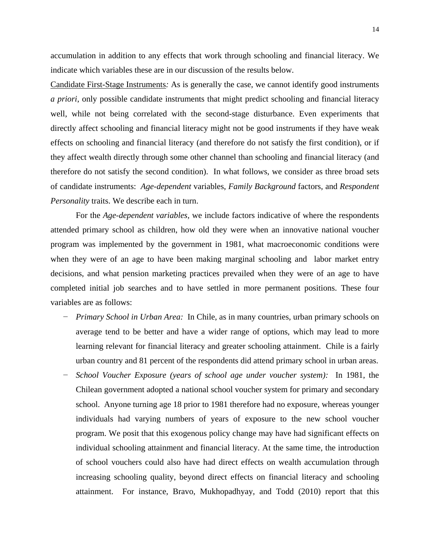accumulation in addition to any effects that work through schooling and financial literacy. We indicate which variables these are in our discussion of the results below.

Candidate First-Stage Instruments*:* As is generally the case, we cannot identify good instruments *a priori*, only possible candidate instruments that might predict schooling and financial literacy well, while not being correlated with the second-stage disturbance. Even experiments that directly affect schooling and financial literacy might not be good instruments if they have weak effects on schooling and financial literacy (and therefore do not satisfy the first condition), or if they affect wealth directly through some other channel than schooling and financial literacy (and therefore do not satisfy the second condition). In what follows, we consider as three broad sets of candidate instruments: *Age-dependent* variables, *Family Background* factors, and *Respondent Personality* traits. We describe each in turn.

For the *Age-dependent variables,* we include factors indicative of where the respondents attended primary school as children, how old they were when an innovative national voucher program was implemented by the government in 1981, what macroeconomic conditions were when they were of an age to have been making marginal schooling and labor market entry decisions, and what pension marketing practices prevailed when they were of an age to have completed initial job searches and to have settled in more permanent positions. These four variables are as follows:

- − *Primary School in Urban Area:* In Chile, as in many countries, urban primary schools on average tend to be better and have a wider range of options, which may lead to more learning relevant for financial literacy and greater schooling attainment. Chile is a fairly urban country and 81 percent of the respondents did attend primary school in urban areas.
- − *School Voucher Exposure (years of school age under voucher system):* In 1981, the Chilean government adopted a national school voucher system for primary and secondary school. Anyone turning age 18 prior to 1981 therefore had no exposure, whereas younger individuals had varying numbers of years of exposure to the new school voucher program. We posit that this exogenous policy change may have had significant effects on individual schooling attainment and financial literacy. At the same time, the introduction of school vouchers could also have had direct effects on wealth accumulation through increasing schooling quality, beyond direct effects on financial literacy and schooling attainment. For instance, Bravo, Mukhopadhyay, and Todd (2010) report that this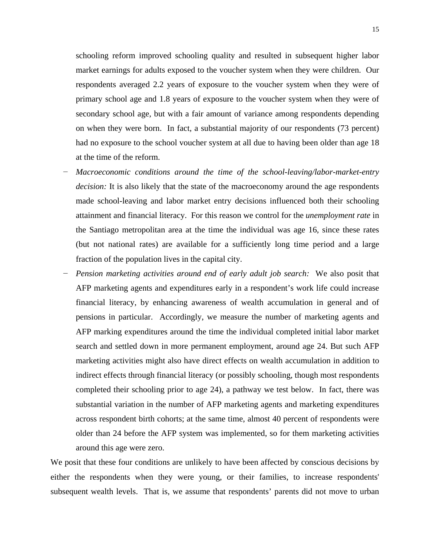schooling reform improved schooling quality and resulted in subsequent higher labor market earnings for adults exposed to the voucher system when they were children. Our respondents averaged 2.2 years of exposure to the voucher system when they were of primary school age and 1.8 years of exposure to the voucher system when they were of secondary school age, but with a fair amount of variance among respondents depending on when they were born. In fact, a substantial majority of our respondents (73 percent) had no exposure to the school voucher system at all due to having been older than age 18 at the time of the reform.

- − *Macroeconomic conditions around the time of the school-leaving/labor-market-entry decision:* It is also likely that the state of the macroeconomy around the age respondents made school-leaving and labor market entry decisions influenced both their schooling attainment and financial literacy. For this reason we control for the *unemployment rate* in the Santiago metropolitan area at the time the individual was age 16, since these rates (but not national rates) are available for a sufficiently long time period and a large fraction of the population lives in the capital city.
- − *Pension marketing activities around end of early adult job search:* We also posit that AFP marketing agents and expenditures early in a respondent's work life could increase financial literacy, by enhancing awareness of wealth accumulation in general and of pensions in particular. Accordingly, we measure the number of marketing agents and AFP marking expenditures around the time the individual completed initial labor market search and settled down in more permanent employment, around age 24. But such AFP marketing activities might also have direct effects on wealth accumulation in addition to indirect effects through financial literacy (or possibly schooling, though most respondents completed their schooling prior to age 24), a pathway we test below. In fact, there was substantial variation in the number of AFP marketing agents and marketing expenditures across respondent birth cohorts; at the same time, almost 40 percent of respondents were older than 24 before the AFP system was implemented, so for them marketing activities around this age were zero.

We posit that these four conditions are unlikely to have been affected by conscious decisions by either the respondents when they were young, or their families, to increase respondents' subsequent wealth levels. That is, we assume that respondents' parents did not move to urban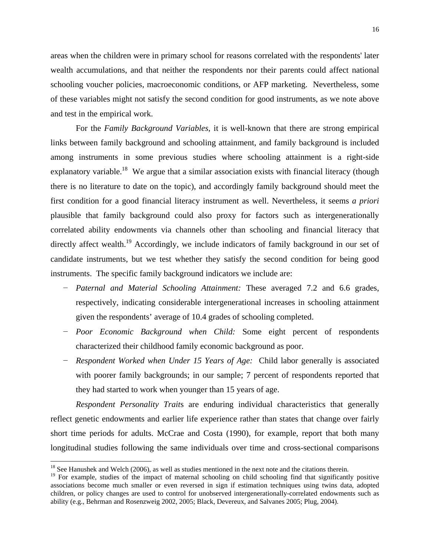areas when the children were in primary school for reasons correlated with the respondents' later wealth accumulations, and that neither the respondents nor their parents could affect national schooling voucher policies, macroeconomic conditions, or AFP marketing. Nevertheless, some of these variables might not satisfy the second condition for good instruments, as we note above and test in the empirical work.

 For the *Family Background Variables*, it is well-known that there are strong empirical links between family background and schooling attainment, and family background is included among instruments in some previous studies where schooling attainment is a right-side explanatory variable.<sup>18</sup> We argue that a similar association exists with financial literacy (though there is no literature to date on the topic), and accordingly family background should meet the first condition for a good financial literacy instrument as well. Nevertheless, it seems *a priori* plausible that family background could also proxy for factors such as intergenerationally correlated ability endowments via channels other than schooling and financial literacy that directly affect wealth.<sup>19</sup> Accordingly, we include indicators of family background in our set of candidate instruments, but we test whether they satisfy the second condition for being good instruments. The specific family background indicators we include are:

- − *Paternal and Material Schooling Attainment:* These averaged 7.2 and 6.6 grades, respectively, indicating considerable intergenerational increases in schooling attainment given the respondents' average of 10.4 grades of schooling completed.
- − *Poor Economic Background when Child:* Some eight percent of respondents characterized their childhood family economic background as poor.
- − *Respondent Worked when Under 15 Years of Age:* Child labor generally is associated with poorer family backgrounds; in our sample; 7 percent of respondents reported that they had started to work when younger than 15 years of age.

*Respondent Personality Trait*s are enduring individual characteristics that generally reflect genetic endowments and earlier life experience rather than states that change over fairly short time periods for adults. McCrae and Costa (1990), for example, report that both many longitudinal studies following the same individuals over time and cross-sectional comparisons

1

 $18$  See Hanushek and Welch (2006), as well as studies mentioned in the next note and the citations therein.

<sup>&</sup>lt;sup>19</sup> For example, studies of the impact of maternal schooling on child schooling find that significantly positive associations become much smaller or even reversed in sign if estimation techniques using twins data, adopted children, or policy changes are used to control for unobserved intergenerationally-correlated endowments such as ability (e.g., Behrman and Rosenzweig 2002, 2005; Black, Devereux, and Salvanes 2005; Plug, 2004).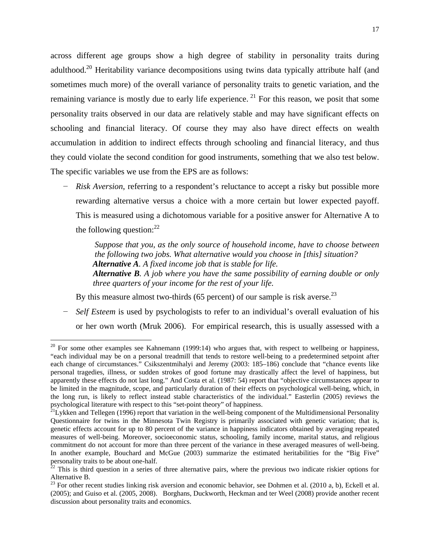across different age groups show a high degree of stability in personality traits during adulthood.<sup>20</sup> Heritability variance decompositions using twins data typically attribute half (and sometimes much more) of the overall variance of personality traits to genetic variation, and the remaining variance is mostly due to early life experience.<sup>21</sup> For this reason, we posit that some personality traits observed in our data are relatively stable and may have significant effects on schooling and financial literacy. Of course they may also have direct effects on wealth accumulation in addition to indirect effects through schooling and financial literacy, and thus they could violate the second condition for good instruments, something that we also test below. The specific variables we use from the EPS are as follows:

− *Risk Aversion*, referring to a respondent's reluctance to accept a risky but possible more rewarding alternative versus a choice with a more certain but lower expected payoff. This is measured using a dichotomous variable for a positive answer for Alternative A to the following question: $^{22}$ 

*Suppose that you, as the only source of household income, have to choose between the following two jobs. What alternative would you choose in [this] situation? Alternative A. A fixed income job that is stable for life.* 

*Alternative B. A job where you have the same possibility of earning double or only three quarters of your income for the rest of your life.* 

By this measure almost two-thirds (65 percent) of our sample is risk averse.<sup>23</sup>

1

− *Self Esteem* is used by psychologists to refer to an individual's overall evaluation of his or her own worth (Mruk 2006). For empirical research, this is usually assessed with a

 $20$  For some other examples see Kahnemann (1999:14) who argues that, with respect to wellbeing or happiness, "each individual may be on a personal treadmill that tends to restore well-being to a predetermined setpoint after each change of circumstances." Csikszentmihalyi and Jeremy (2003: 185–186) conclude that "chance events like personal tragedies, illness, or sudden strokes of good fortune may drastically affect the level of happiness, but apparently these effects do not last long." And Costa et al. (1987: 54) report that "objective circumstances appear to be limited in the magnitude, scope, and particularly duration of their effects on psychological well-being, which, in the long run, is likely to reflect instead stable characteristics of the individual." Easterlin (2005) reviews the psychological literature with respect to this "set-point theory" of happiness.

 $^{21}$ Lykken and Tellegen (1996) report that variation in the well-being component of the Multidimensional Personality Questionnaire for twins in the Minnesota Twin Registry is primarily associated with genetic variation; that is, genetic effects account for up to 80 percent of the variance in happiness indicators obtained by averaging repeated measures of well-being. Moreover, socioeconomic status, schooling, family income, marital status, and religious commitment do not account for more than three percent of the variance in these averaged measures of well-being. In another example, Bouchard and McGue (2003) summarize the estimated heritabilities for the "Big Five" personality traits to be about one-half.

 $22$  This is third question in a series of three alternative pairs, where the previous two indicate riskier options for Alternative B.

 $^{23}$  For other recent studies linking risk aversion and economic behavior, see Dohmen et al. (2010 a, b), Eckell et al. (2005); and Guiso et al. (2005, 2008). Borghans, Duckworth, Heckman and ter Weel (2008) provide another recent discussion about personality traits and economics.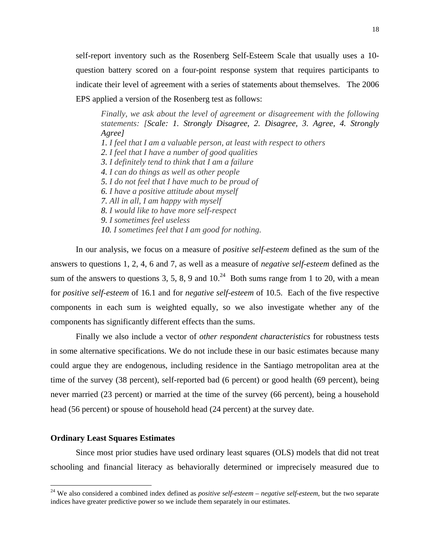self-report inventory such as the Rosenberg Self-Esteem Scale that usually uses a 10 question battery scored on a four-point response system that requires participants to indicate their level of agreement with a series of statements about themselves. The 2006 EPS applied a version of the Rosenberg test as follows:

*Finally, we ask about the level of agreement or disagreement with the following statements: [Scale: 1. Strongly Disagree, 2. Disagree, 3. Agree, 4. Strongly Agree] 1. I feel that I am a valuable person, at least with respect to others 2. I feel that I have a number of good qualities 3. I definitely tend to think that I am a failure 4. I can do things as well as other people 5. I do not feel that I have much to be proud of 6. I have a positive attitude about myself 7. All in all, I am happy with myself 8. I would like to have more self-respect 9. I sometimes feel useless 10. I sometimes feel that I am good for nothing.* 

 In our analysis, we focus on a measure of *positive self-esteem* defined as the sum of the answers to questions 1, 2, 4, 6 and 7, as well as a measure of *negative self-esteem* defined as the sum of the answers to questions 3, 5, 8, 9 and  $10^{24}$  Both sums range from 1 to 20, with a mean for *positive self-esteem* of 16.1 and for *negative self-esteem* of 10.5. Each of the five respective components in each sum is weighted equally, so we also investigate whether any of the components has significantly different effects than the sums.

Finally we also include a vector of *other respondent characteristics* for robustness tests in some alternative specifications. We do not include these in our basic estimates because many could argue they are endogenous, including residence in the Santiago metropolitan area at the time of the survey (38 percent), self-reported bad (6 percent) or good health (69 percent), being never married (23 percent) or married at the time of the survey (66 percent), being a household head (56 percent) or spouse of household head (24 percent) at the survey date.

### **Ordinary Least Squares Estimates**

 $\overline{a}$ 

Since most prior studies have used ordinary least squares (OLS) models that did not treat schooling and financial literacy as behaviorally determined or imprecisely measured due to

<sup>&</sup>lt;sup>24</sup> We also considered a combined index defined as *positive self-esteem – negative self-esteem*, but the two separate indices have greater predictive power so we include them separately in our estimates.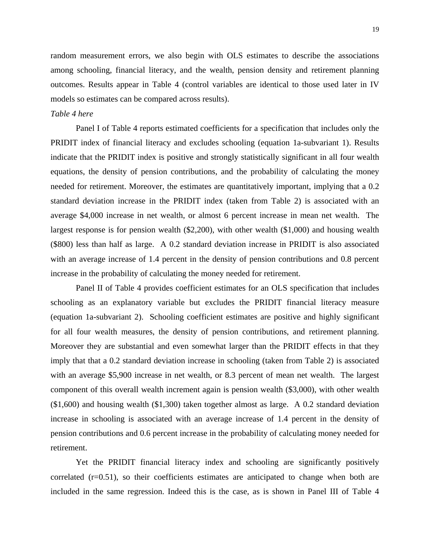random measurement errors, we also begin with OLS estimates to describe the associations among schooling, financial literacy, and the wealth, pension density and retirement planning outcomes. Results appear in Table 4 (control variables are identical to those used later in IV models so estimates can be compared across results).

### *Table 4 here*

 Panel I of Table 4 reports estimated coefficients for a specification that includes only the PRIDIT index of financial literacy and excludes schooling (equation 1a-subvariant 1). Results indicate that the PRIDIT index is positive and strongly statistically significant in all four wealth equations, the density of pension contributions, and the probability of calculating the money needed for retirement. Moreover, the estimates are quantitatively important, implying that a 0.2 standard deviation increase in the PRIDIT index (taken from Table 2) is associated with an average \$4,000 increase in net wealth, or almost 6 percent increase in mean net wealth. The largest response is for pension wealth (\$2,200), with other wealth (\$1,000) and housing wealth (\$800) less than half as large. A 0.2 standard deviation increase in PRIDIT is also associated with an average increase of 1.4 percent in the density of pension contributions and 0.8 percent increase in the probability of calculating the money needed for retirement.

 Panel II of Table 4 provides coefficient estimates for an OLS specification that includes schooling as an explanatory variable but excludes the PRIDIT financial literacy measure (equation 1a-subvariant 2). Schooling coefficient estimates are positive and highly significant for all four wealth measures, the density of pension contributions, and retirement planning. Moreover they are substantial and even somewhat larger than the PRIDIT effects in that they imply that that a 0.2 standard deviation increase in schooling (taken from Table 2) is associated with an average \$5,900 increase in net wealth, or 8.3 percent of mean net wealth. The largest component of this overall wealth increment again is pension wealth (\$3,000), with other wealth (\$1,600) and housing wealth (\$1,300) taken together almost as large. A 0.2 standard deviation increase in schooling is associated with an average increase of 1.4 percent in the density of pension contributions and 0.6 percent increase in the probability of calculating money needed for retirement.

 Yet the PRIDIT financial literacy index and schooling are significantly positively correlated (r=0.51), so their coefficients estimates are anticipated to change when both are included in the same regression. Indeed this is the case, as is shown in Panel III of Table 4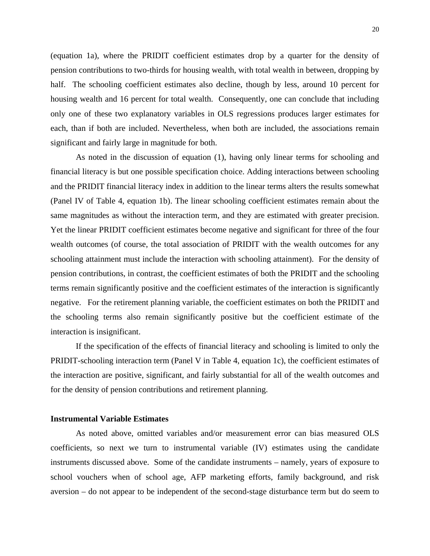(equation 1a), where the PRIDIT coefficient estimates drop by a quarter for the density of pension contributions to two-thirds for housing wealth, with total wealth in between, dropping by half. The schooling coefficient estimates also decline, though by less, around 10 percent for housing wealth and 16 percent for total wealth. Consequently, one can conclude that including only one of these two explanatory variables in OLS regressions produces larger estimates for each, than if both are included. Nevertheless, when both are included, the associations remain significant and fairly large in magnitude for both.

As noted in the discussion of equation (1), having only linear terms for schooling and financial literacy is but one possible specification choice. Adding interactions between schooling and the PRIDIT financial literacy index in addition to the linear terms alters the results somewhat (Panel IV of Table 4, equation 1b). The linear schooling coefficient estimates remain about the same magnitudes as without the interaction term, and they are estimated with greater precision. Yet the linear PRIDIT coefficient estimates become negative and significant for three of the four wealth outcomes (of course, the total association of PRIDIT with the wealth outcomes for any schooling attainment must include the interaction with schooling attainment). For the density of pension contributions, in contrast, the coefficient estimates of both the PRIDIT and the schooling terms remain significantly positive and the coefficient estimates of the interaction is significantly negative. For the retirement planning variable, the coefficient estimates on both the PRIDIT and the schooling terms also remain significantly positive but the coefficient estimate of the interaction is insignificant.

 If the specification of the effects of financial literacy and schooling is limited to only the PRIDIT-schooling interaction term (Panel V in Table 4, equation 1c), the coefficient estimates of the interaction are positive, significant, and fairly substantial for all of the wealth outcomes and for the density of pension contributions and retirement planning.

#### **Instrumental Variable Estimates**

 As noted above, omitted variables and/or measurement error can bias measured OLS coefficients, so next we turn to instrumental variable (IV) estimates using the candidate instruments discussed above. Some of the candidate instruments – namely, years of exposure to school vouchers when of school age, AFP marketing efforts, family background, and risk aversion – do not appear to be independent of the second-stage disturbance term but do seem to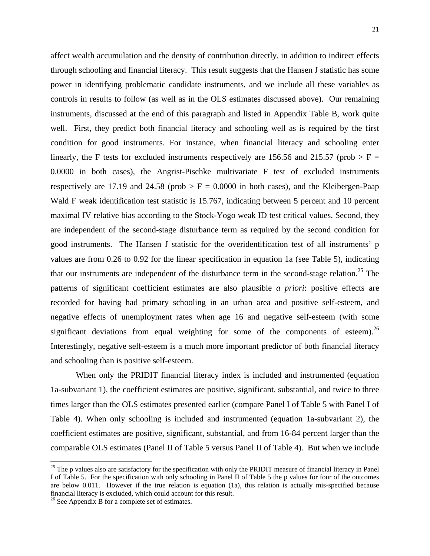21

through schooling and financial literacy. This result suggests that the Hansen J statistic has some power in identifying problematic candidate instruments, and we include all these variables as controls in results to follow (as well as in the OLS estimates discussed above). Our remaining instruments, discussed at the end of this paragraph and listed in Appendix Table B, work quite well. First, they predict both financial literacy and schooling well as is required by the first condition for good instruments. For instance, when financial literacy and schooling enter linearly, the F tests for excluded instruments respectively are 156.56 and 215.57 (prob  $>$  F = 0.0000 in both cases), the Angrist-Pischke multivariate F test of excluded instruments respectively are 17.19 and 24.58 (prob  $> F = 0.0000$  in both cases), and the Kleibergen-Paap Wald F weak identification test statistic is 15.767, indicating between 5 percent and 10 percent maximal IV relative bias according to the Stock-Yogo weak ID test critical values. Second, they are independent of the second-stage disturbance term as required by the second condition for good instruments. The Hansen J statistic for the overidentification test of all instruments' p values are from 0.26 to 0.92 for the linear specification in equation 1a (see Table 5), indicating that our instruments are independent of the disturbance term in the second-stage relation.<sup>25</sup> The patterns of significant coefficient estimates are also plausible *a priori*: positive effects are recorded for having had primary schooling in an urban area and positive self-esteem, and negative effects of unemployment rates when age 16 and negative self-esteem (with some significant deviations from equal weighting for some of the components of esteem).<sup>26</sup> Interestingly, negative self-esteem is a much more important predictor of both financial literacy and schooling than is positive self-esteem.

 When only the PRIDIT financial literacy index is included and instrumented (equation 1a-subvariant 1), the coefficient estimates are positive, significant, substantial, and twice to three times larger than the OLS estimates presented earlier (compare Panel I of Table 5 with Panel I of Table 4). When only schooling is included and instrumented (equation 1a-subvariant 2), the coefficient estimates are positive, significant, substantial, and from 16-84 percent larger than the comparable OLS estimates (Panel II of Table 5 versus Panel II of Table 4). But when we include

1

 $25$  The p values also are satisfactory for the specification with only the PRIDIT measure of financial literacy in Panel I of Table 5. For the specification with only schooling in Panel II of Table 5 the p values for four of the outcomes are below 0.011. However if the true relation is equation (1a), this relation is actually mis-specified because financial literacy is excluded, which could account for this result.

 $26$  See Appendix B for a complete set of estimates.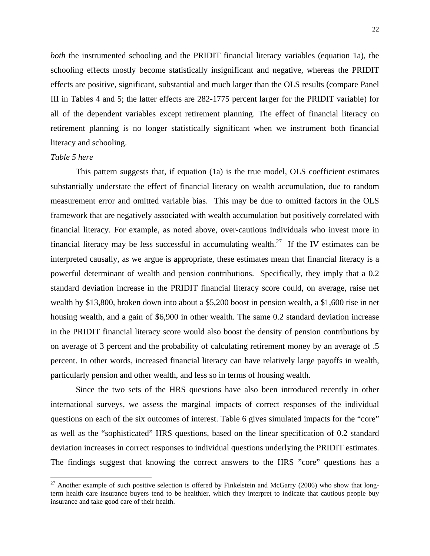*both* the instrumented schooling and the PRIDIT financial literacy variables (equation 1a), the schooling effects mostly become statistically insignificant and negative, whereas the PRIDIT effects are positive, significant, substantial and much larger than the OLS results (compare Panel III in Tables 4 and 5; the latter effects are 282-1775 percent larger for the PRIDIT variable) for all of the dependent variables except retirement planning. The effect of financial literacy on retirement planning is no longer statistically significant when we instrument both financial literacy and schooling.

# *Table 5 here*

 $\overline{a}$ 

 This pattern suggests that, if equation (1a) is the true model, OLS coefficient estimates substantially understate the effect of financial literacy on wealth accumulation, due to random measurement error and omitted variable bias. This may be due to omitted factors in the OLS framework that are negatively associated with wealth accumulation but positively correlated with financial literacy. For example, as noted above, over-cautious individuals who invest more in financial literacy may be less successful in accumulating wealth.<sup>27</sup> If the IV estimates can be interpreted causally, as we argue is appropriate, these estimates mean that financial literacy is a powerful determinant of wealth and pension contributions. Specifically, they imply that a 0.2 standard deviation increase in the PRIDIT financial literacy score could, on average, raise net wealth by \$13,800, broken down into about a \$5,200 boost in pension wealth, a \$1,600 rise in net housing wealth, and a gain of \$6,900 in other wealth. The same 0.2 standard deviation increase in the PRIDIT financial literacy score would also boost the density of pension contributions by on average of 3 percent and the probability of calculating retirement money by an average of .5 percent. In other words, increased financial literacy can have relatively large payoffs in wealth, particularly pension and other wealth, and less so in terms of housing wealth.

 Since the two sets of the HRS questions have also been introduced recently in other international surveys, we assess the marginal impacts of correct responses of the individual questions on each of the six outcomes of interest. Table 6 gives simulated impacts for the "core" as well as the "sophisticated" HRS questions, based on the linear specification of 0.2 standard deviation increases in correct responses to individual questions underlying the PRIDIT estimates. The findings suggest that knowing the correct answers to the HRS "core" questions has a

 $27$  Another example of such positive selection is offered by Finkelstein and McGarry (2006) who show that longterm health care insurance buyers tend to be healthier, which they interpret to indicate that cautious people buy insurance and take good care of their health.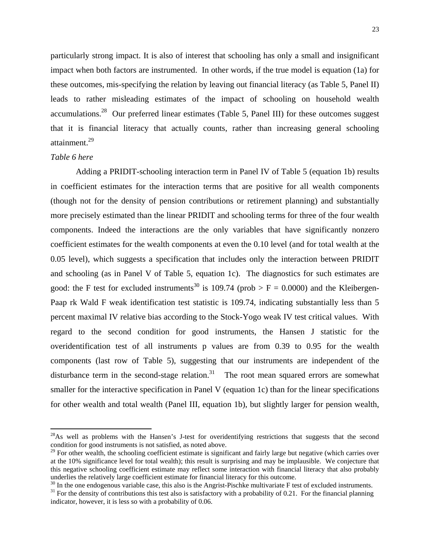particularly strong impact. It is also of interest that schooling has only a small and insignificant impact when both factors are instrumented. In other words, if the true model is equation (1a) for these outcomes, mis-specifying the relation by leaving out financial literacy (as Table 5, Panel II) leads to rather misleading estimates of the impact of schooling on household wealth accumulations.<sup>28</sup> Our preferred linear estimates (Table 5, Panel III) for these outcomes suggest that it is financial literacy that actually counts, rather than increasing general schooling attainment.<sup>29</sup>

### *Table 6 here*

 $\overline{a}$ 

 Adding a PRIDIT-schooling interaction term in Panel IV of Table 5 (equation 1b) results in coefficient estimates for the interaction terms that are positive for all wealth components (though not for the density of pension contributions or retirement planning) and substantially more precisely estimated than the linear PRIDIT and schooling terms for three of the four wealth components. Indeed the interactions are the only variables that have significantly nonzero coefficient estimates for the wealth components at even the 0.10 level (and for total wealth at the 0.05 level), which suggests a specification that includes only the interaction between PRIDIT and schooling (as in Panel V of Table 5, equation 1c). The diagnostics for such estimates are good: the F test for excluded instruments<sup>30</sup> is 109.74 (prob  $> F = 0.0000$ ) and the Kleibergen-Paap rk Wald F weak identification test statistic is 109.74, indicating substantially less than 5 percent maximal IV relative bias according to the Stock-Yogo weak IV test critical values. With regard to the second condition for good instruments, the Hansen J statistic for the overidentification test of all instruments p values are from 0.39 to 0.95 for the wealth components (last row of Table 5), suggesting that our instruments are independent of the disturbance term in the second-stage relation.<sup>31</sup> The root mean squared errors are somewhat smaller for the interactive specification in Panel V (equation 1c) than for the linear specifications for other wealth and total wealth (Panel III, equation 1b), but slightly larger for pension wealth,

<sup>&</sup>lt;sup>28</sup>As well as problems with the Hansen's J-test for overidentifying restrictions that suggests that the second condition for good instruments is not satisfied, as noted above.

 $29$  For other wealth, the schooling coefficient estimate is significant and fairly large but negative (which carries over at the 10% significance level for total wealth); this result is surprising and may be implausible. We conjecture that this negative schooling coefficient estimate may reflect some interaction with financial literacy that also probably underlies the relatively large coefficient estimate for financial literacy for this outcome.<br><sup>30</sup> In the one endogenous variable case, this also is the Angrist-Pischke multivariate  $F$  test of excluded instruments.

 $31$  For the density of contributions this test also is satisfactory with a probability of 0.21. For the financial planning indicator, however, it is less so with a probability of 0.06.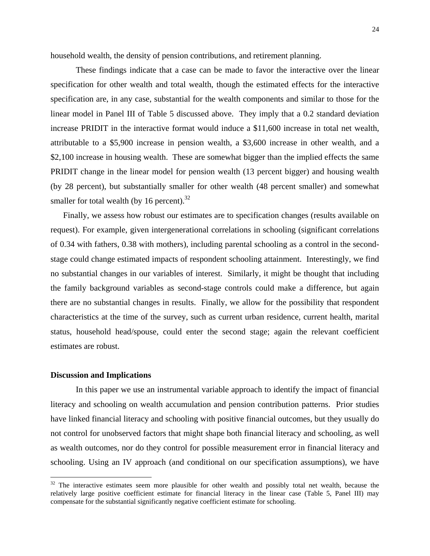household wealth, the density of pension contributions, and retirement planning.

 These findings indicate that a case can be made to favor the interactive over the linear specification for other wealth and total wealth, though the estimated effects for the interactive specification are, in any case, substantial for the wealth components and similar to those for the linear model in Panel III of Table 5 discussed above. They imply that a 0.2 standard deviation increase PRIDIT in the interactive format would induce a \$11,600 increase in total net wealth, attributable to a \$5,900 increase in pension wealth, a \$3,600 increase in other wealth, and a \$2,100 increase in housing wealth. These are somewhat bigger than the implied effects the same PRIDIT change in the linear model for pension wealth (13 percent bigger) and housing wealth (by 28 percent), but substantially smaller for other wealth (48 percent smaller) and somewhat smaller for total wealth (by 16 percent). $32$ 

 Finally, we assess how robust our estimates are to specification changes (results available on request). For example, given intergenerational correlations in schooling (significant correlations of 0.34 with fathers, 0.38 with mothers), including parental schooling as a control in the secondstage could change estimated impacts of respondent schooling attainment. Interestingly, we find no substantial changes in our variables of interest. Similarly, it might be thought that including the family background variables as second-stage controls could make a difference, but again there are no substantial changes in results. Finally, we allow for the possibility that respondent characteristics at the time of the survey, such as current urban residence, current health, marital status, household head/spouse, could enter the second stage; again the relevant coefficient estimates are robust.

#### **Discussion and Implications**

 $\overline{a}$ 

 In this paper we use an instrumental variable approach to identify the impact of financial literacy and schooling on wealth accumulation and pension contribution patterns. Prior studies have linked financial literacy and schooling with positive financial outcomes, but they usually do not control for unobserved factors that might shape both financial literacy and schooling, as well as wealth outcomes, nor do they control for possible measurement error in financial literacy and schooling. Using an IV approach (and conditional on our specification assumptions), we have

 $32$  The interactive estimates seem more plausible for other wealth and possibly total net wealth, because the relatively large positive coefficient estimate for financial literacy in the linear case (Table 5, Panel III) may compensate for the substantial significantly negative coefficient estimate for schooling.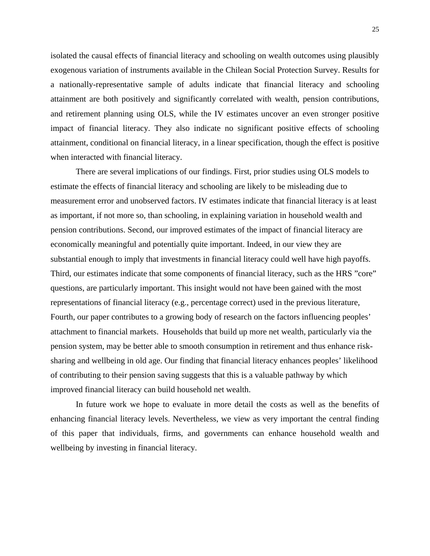isolated the causal effects of financial literacy and schooling on wealth outcomes using plausibly exogenous variation of instruments available in the Chilean Social Protection Survey. Results for a nationally-representative sample of adults indicate that financial literacy and schooling attainment are both positively and significantly correlated with wealth, pension contributions, and retirement planning using OLS, while the IV estimates uncover an even stronger positive impact of financial literacy. They also indicate no significant positive effects of schooling attainment, conditional on financial literacy, in a linear specification, though the effect is positive when interacted with financial literacy.

 There are several implications of our findings. First, prior studies using OLS models to estimate the effects of financial literacy and schooling are likely to be misleading due to measurement error and unobserved factors. IV estimates indicate that financial literacy is at least as important, if not more so, than schooling, in explaining variation in household wealth and pension contributions. Second, our improved estimates of the impact of financial literacy are economically meaningful and potentially quite important. Indeed, in our view they are substantial enough to imply that investments in financial literacy could well have high payoffs. Third, our estimates indicate that some components of financial literacy, such as the HRS "core" questions, are particularly important. This insight would not have been gained with the most representations of financial literacy (e.g., percentage correct) used in the previous literature, Fourth, our paper contributes to a growing body of research on the factors influencing peoples' attachment to financial markets. Households that build up more net wealth, particularly via the pension system, may be better able to smooth consumption in retirement and thus enhance risksharing and wellbeing in old age. Our finding that financial literacy enhances peoples' likelihood of contributing to their pension saving suggests that this is a valuable pathway by which improved financial literacy can build household net wealth.

In future work we hope to evaluate in more detail the costs as well as the benefits of enhancing financial literacy levels. Nevertheless, we view as very important the central finding of this paper that individuals, firms, and governments can enhance household wealth and wellbeing by investing in financial literacy.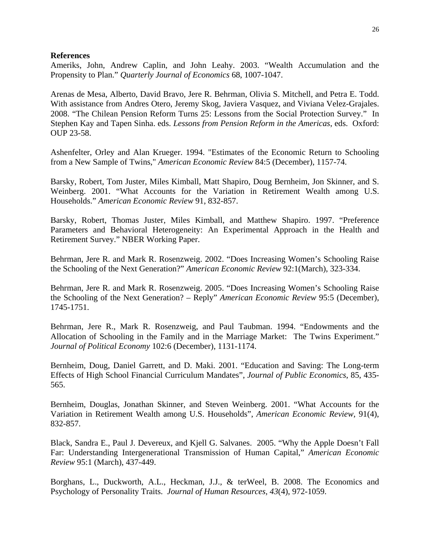### **References**

Ameriks, John, Andrew Caplin, and John Leahy. 2003. "Wealth Accumulation and the Propensity to Plan." *Quarterly Journal of Economics* 68, 1007-1047.

Arenas de Mesa, Alberto, David Bravo, Jere R. Behrman, Olivia S. Mitchell, and Petra E. Todd. With assistance from Andres Otero, Jeremy Skog, Javiera Vasquez, and Viviana Velez-Grajales. 2008. "The Chilean Pension Reform Turns 25: Lessons from the Social Protection Survey." In Stephen Kay and Tapen Sinha. eds. *Lessons from Pension Reform in the Americas*, eds. Oxford: OUP 23-58.

Ashenfelter, Orley and Alan Krueger. 1994. "Estimates of the Economic Return to Schooling from a New Sample of Twins," *American Economic Review* 84:5 (December), 1157-74.

Barsky, Robert, Tom Juster, Miles Kimball, Matt Shapiro, Doug Bernheim, Jon Skinner, and S. Weinberg. 2001. "What Accounts for the Variation in Retirement Wealth among U.S. Households." *American Economic Review* 91, 832-857.

Barsky, Robert, Thomas Juster, Miles Kimball, and Matthew Shapiro. 1997. "Preference Parameters and Behavioral Heterogeneity: An Experimental Approach in the Health and Retirement Survey." NBER Working Paper.

Behrman, Jere R. and Mark R. Rosenzweig. 2002. "Does Increasing Women's Schooling Raise the Schooling of the Next Generation?" *American Economic Review* 92:1(March), 323-334.

Behrman, Jere R. and Mark R. Rosenzweig. 2005. "Does Increasing Women's Schooling Raise the Schooling of the Next Generation? – Reply" *American Economic Review* 95:5 (December), 1745-1751.

Behrman, Jere R., Mark R. Rosenzweig, and Paul Taubman. 1994. "Endowments and the Allocation of Schooling in the Family and in the Marriage Market: The Twins Experiment." *Journal of Political Economy* 102:6 (December), 1131-1174.

Bernheim, Doug, Daniel Garrett, and D. Maki. 2001. "Education and Saving: The Long-term Effects of High School Financial Curriculum Mandates", *Journal of Public Economics*, 85, 435- 565.

Bernheim, Douglas, Jonathan Skinner, and Steven Weinberg. 2001. "What Accounts for the Variation in Retirement Wealth among U.S. Households", *American Economic Review*, 91(4), 832-857.

Black, Sandra E., Paul J. Devereux, and Kjell G. Salvanes. 2005. "Why the Apple Doesn't Fall Far: Understanding Intergenerational Transmission of Human Capital," *American Economic Review* 95:1 (March), 437-449.

Borghans, L., Duckworth, A.L., Heckman, J.J., & terWeel, B. 2008. The Economics and Psychology of Personality Traits. *Journal of Human Resources, 43*(4), 972-1059.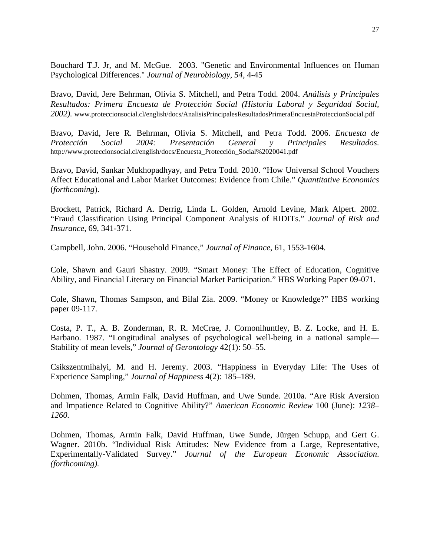Bouchard T.J. Jr, and M. McGue. 2003. "Genetic and Environmental Influences on Human Psychological Differences." *Journal of Neurobiology*, *54*, 4-45

Bravo, David, Jere Behrman, Olivia S. Mitchell, and Petra Todd. 2004. *Análisis y Principales Resultados: Primera Encuesta de Protección Social (Historia Laboral y Seguridad Social, 2002).* www.proteccionsocial.cl/english/docs/AnalisisPrincipalesResultadosPrimeraEncuestaProteccionSocial.pdf

Bravo, David, Jere R. Behrman, Olivia S. Mitchell, and Petra Todd. 2006. *Encuesta de Protección Social 2004: Presentación General y Principales Resultados*. http://www.proteccionsocial.cl/english/docs/Encuesta\_Protección\_Social%2020041.pdf

Bravo, David, Sankar Mukhopadhyay, and Petra Todd. 2010. "How Universal School Vouchers Affect Educational and Labor Market Outcomes: Evidence from Chile." *Quantitative Economics* (*forthcoming*).

Brockett, Patrick, Richard A. Derrig, Linda L. Golden, Arnold Levine, Mark Alpert. 2002. "Fraud Classification Using Principal Component Analysis of RIDITs." *Journal of Risk and Insurance*, 69, 341-371.

Campbell, John. 2006. "Household Finance," *Journal of Finance*, 61, 1553-1604.

Cole, Shawn and Gauri Shastry. 2009. "Smart Money: The Effect of Education, Cognitive Ability, and Financial Literacy on Financial Market Participation." HBS Working Paper 09-071.

Cole, Shawn, Thomas Sampson, and Bilal Zia. 2009. "Money or Knowledge?" HBS working paper 09-117.

Costa, P. T., A. B. Zonderman, R. R. McCrae, J. Cornonihuntley, B. Z. Locke, and H. E. Barbano. 1987. "Longitudinal analyses of psychological well-being in a national sample— Stability of mean levels," *Journal of Gerontology* 42(1): 50–55.

Csikszentmihalyi, M. and H. Jeremy. 2003. "Happiness in Everyday Life: The Uses of Experience Sampling," *Journal of Happiness* 4(2): 185–189.

Dohmen, Thomas, Armin Falk, David Huffman, and Uwe Sunde. 2010a. "Are Risk Aversion and Impatience Related to Cognitive Ability?" *American Economic Review* 100 (June): *1238– 1260.*

Dohmen, Thomas, Armin Falk, David Huffman, Uwe Sunde, Jürgen Schupp, and Gert G. Wagner. 2010b. "Individual Risk Attitudes: New Evidence from a Large, Representative, Experimentally-Validated Survey." *Journal of the European Economic Association*. *(forthcoming).*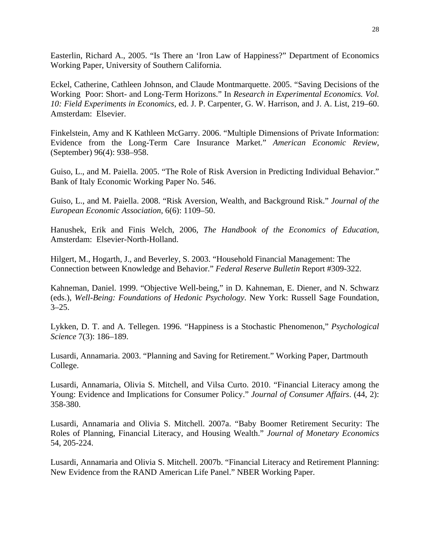Easterlin, Richard A., 2005. "Is There an 'Iron Law of Happiness?" Department of Economics Working Paper, University of Southern California.

Eckel, Catherine, Cathleen Johnson, and Claude Montmarquette. 2005. "Saving Decisions of the Working Poor: Short- and Long-Term Horizons." In *Research in Experimental Economics. Vol. 10: Field Experiments in Economics*, ed. J. P. Carpenter, G. W. Harrison, and J. A. List, 219–60. Amsterdam: Elsevier.

Finkelstein, Amy and K Kathleen McGarry. 2006. "Multiple Dimensions of Private Information: Evidence from the Long-Term Care Insurance Market." *American Economic Review,* (September) 96(4): 938–958.

Guiso, L., and M. Paiella. 2005. "The Role of Risk Aversion in Predicting Individual Behavior." Bank of Italy Economic Working Paper No. 546.

Guiso, L., and M. Paiella. 2008. "Risk Aversion, Wealth, and Background Risk." *Journal of the European Economic Association*, 6(6): 1109–50.

Hanushek, Erik and Finis Welch, 2006, *The Handbook of the Economics of Education*, Amsterdam: Elsevier-North-Holland.

Hilgert, M., Hogarth, J., and Beverley, S. 2003. "Household Financial Management: The Connection between Knowledge and Behavior." *Federal Reserve Bulletin* Report #309-322.

Kahneman, Daniel. 1999. "Objective Well-being," in D. Kahneman, E. Diener, and N. Schwarz (eds.), *Well-Being: Foundations of Hedonic Psychology*. New York: Russell Sage Foundation,  $3 - 25$ .

Lykken, D. T. and A. Tellegen. 1996. "Happiness is a Stochastic Phenomenon," *Psychological Science* 7(3): 186–189.

Lusardi, Annamaria. 2003. "Planning and Saving for Retirement." Working Paper, Dartmouth College.

Lusardi, Annamaria, Olivia S. Mitchell, and Vilsa Curto. 2010. "Financial Literacy among the Young: Evidence and Implications for Consumer Policy." *Journal of Consumer Affairs*. (44, 2): 358-380.

Lusardi, Annamaria and Olivia S. Mitchell. 2007a. "Baby Boomer Retirement Security: The Roles of Planning, Financial Literacy, and Housing Wealth." *Journal of Monetary Economics* 54, 205-224.

Lusardi, Annamaria and Olivia S. Mitchell. 2007b. "Financial Literacy and Retirement Planning: New Evidence from the RAND American Life Panel." NBER Working Paper.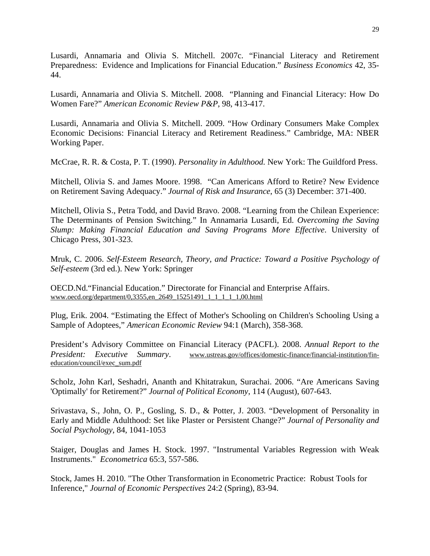Lusardi, Annamaria and Olivia S. Mitchell. 2007c. "Financial Literacy and Retirement Preparedness: Evidence and Implications for Financial Education." *Business Economics* 42, 35- 44.

Lusardi, Annamaria and Olivia S. Mitchell. 2008. "Planning and Financial Literacy: How Do Women Fare?" *American Economic Review P&P*, 98, 413-417.

Lusardi, Annamaria and Olivia S. Mitchell. 2009. "How Ordinary Consumers Make Complex Economic Decisions: Financial Literacy and Retirement Readiness." Cambridge, MA: NBER Working Paper.

McCrae, R. R. & Costa, P. T. (1990). *Personality in Adulthood.* New York: The Guildford Press.

Mitchell, Olivia S. and James Moore. 1998. "Can Americans Afford to Retire? New Evidence on Retirement Saving Adequacy." *Journal of Risk and Insurance*, 65 (3) December: 371-400.

Mitchell, Olivia S., Petra Todd, and David Bravo. 2008. "Learning from the Chilean Experience: The Determinants of Pension Switching." In Annamaria Lusardi, Ed. *Overcoming the Saving Slump: Making Financial Education and Saving Programs More Effective*. University of Chicago Press, 301-323.

Mruk, C. 2006. *Self-Esteem Research, Theory, and Practice: Toward a Positive Psychology of Self-esteem* (3rd ed.). New York: Springer

OECD.Nd."Financial Education." Directorate for Financial and Enterprise Affairs. www.oecd.org/department/0,3355,en\_2649\_15251491\_1\_1\_1\_1\_1,00.html

Plug, Erik. 2004. "Estimating the Effect of Mother's Schooling on Children's Schooling Using a Sample of Adoptees," *American Economic Review* 94:1 (March), 358-368.

President's Advisory Committee on Financial Literacy (PACFL). 2008. *Annual Report to the President: Executive Summary*. www.ustreas.gov/offices/domestic-finance/financial-institution/fineducation/council/exec\_sum.pdf

Scholz, John Karl, Seshadri, Ananth and Khitatrakun, Surachai. 2006. "Are Americans Saving 'Optimally' for Retirement?" *Journal of Political Economy*, 114 (August), 607-643.

Srivastava, S., John, O. P., Gosling, S. D., & Potter, J. 2003. "Development of Personality in Early and Middle Adulthood: Set like Plaster or Persistent Change?" *Journal of Personality and Social Psychology*, 84, 1041-1053

Staiger, Douglas and James H. Stock. 1997. "Instrumental Variables Regression with Weak Instruments." *Econometrica* 65:3, 557-586.

Stock, James H. 2010. "The Other Transformation in Econometric Practice: Robust Tools for Inference," *Journal of Economic Perspectives* 24:2 (Spring), 83-94.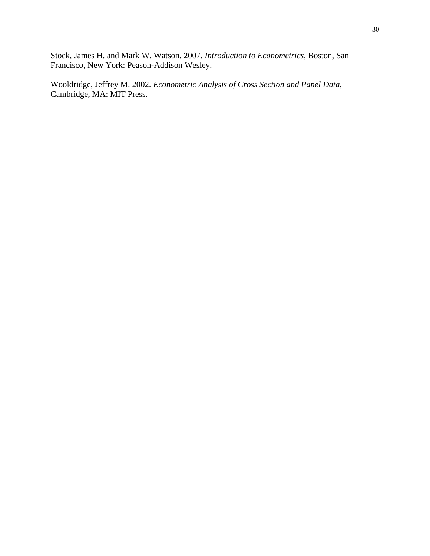Stock, James H. and Mark W. Watson. 2007. *Introduction to Econometrics*, Boston, San Francisco, New York: Peason-Addison Wesley.

Wooldridge, Jeffrey M. 2002. *Econometric Analysis of Cross Section and Panel Data*, Cambridge, MA: MIT Press.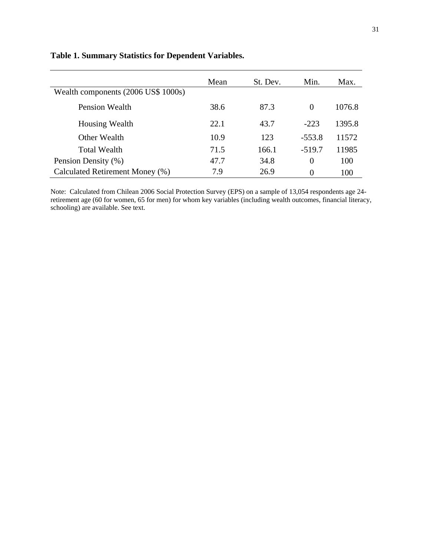|                                     | Mean | St. Dev. | Min.           | Max.   |
|-------------------------------------|------|----------|----------------|--------|
| Wealth components (2006 US\$ 1000s) |      |          |                |        |
| <b>Pension Wealth</b>               | 38.6 | 87.3     | $\Omega$       | 1076.8 |
| Housing Wealth                      | 22.1 | 43.7     | $-223$         | 1395.8 |
| Other Wealth                        | 10.9 | 123      | $-553.8$       | 11572  |
| Total Wealth                        | 71.5 | 166.1    | $-519.7$       | 11985  |
| Pension Density (%)                 | 47.7 | 34.8     | $\theta$       | 100    |
| Calculated Retirement Money (%)     | 7.9  | 26.9     | $\overline{0}$ | 100    |

# **Table 1. Summary Statistics for Dependent Variables.**

Note: Calculated from Chilean 2006 Social Protection Survey (EPS) on a sample of 13,054 respondents age 24 retirement age (60 for women, 65 for men) for whom key variables (including wealth outcomes, financial literacy, schooling) are available. See text.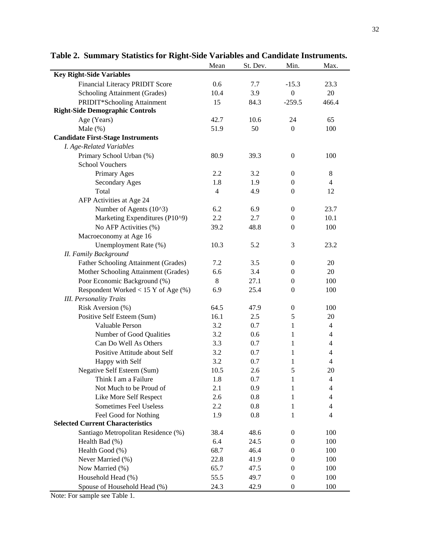|                                          | Mean           | St. Dev. | Min.             | Max.           |
|------------------------------------------|----------------|----------|------------------|----------------|
| <b>Key Right-Side Variables</b>          |                |          |                  |                |
| Financial Literacy PRIDIT Score          | 0.6            | 7.7      | $-15.3$          | 23.3           |
| Schooling Attainment (Grades)            | 10.4           | 3.9      | $\boldsymbol{0}$ | 20             |
| PRIDIT*Schooling Attainment              | 15             | 84.3     | $-259.5$         | 466.4          |
| <b>Right-Side Demographic Controls</b>   |                |          |                  |                |
| Age (Years)                              | 42.7           | 10.6     | 24               | 65             |
| Male $(\%)$                              | 51.9           | 50       | $\mathbf{0}$     | 100            |
| <b>Candidate First-Stage Instruments</b> |                |          |                  |                |
| I. Age-Related Variables                 |                |          |                  |                |
| Primary School Urban (%)                 | 80.9           | 39.3     | $\boldsymbol{0}$ | 100            |
| <b>School Vouchers</b>                   |                |          |                  |                |
| Primary Ages                             | 2.2            | 3.2      | $\boldsymbol{0}$ | 8              |
| <b>Secondary Ages</b>                    | 1.8            | 1.9      | $\boldsymbol{0}$ | $\overline{4}$ |
| Total                                    | $\overline{4}$ | 4.9      | $\mathbf{0}$     | 12             |
| AFP Activities at Age 24                 |                |          |                  |                |
| Number of Agents (10^3)                  | 6.2            | 6.9      | $\boldsymbol{0}$ | 23.7           |
| Marketing Expenditures (P10^9)           | $2.2\,$        | 2.7      | $\boldsymbol{0}$ | 10.1           |
| No AFP Activities (%)                    | 39.2           | 48.8     | $\boldsymbol{0}$ | 100            |
| Macroeconomy at Age 16                   |                |          |                  |                |
| Unemployment Rate (%)                    | 10.3           | 5.2      | 3                | 23.2           |
| II. Family Background                    |                |          |                  |                |
| Father Schooling Attainment (Grades)     | 7.2            | 3.5      | $\boldsymbol{0}$ | 20             |
| Mother Schooling Attainment (Grades)     | 6.6            | 3.4      | $\mathbf{0}$     | 20             |
| Poor Economic Background (%)             | 8              | 27.1     | $\boldsymbol{0}$ | 100            |
| Respondent Worked < $15$ Y of Age $(\%)$ | 6.9            | 25.4     | $\boldsymbol{0}$ | 100            |
| <b>III.</b> Personality Traits           |                |          |                  |                |
| Risk Aversion (%)                        | 64.5           | 47.9     | $\boldsymbol{0}$ | 100            |
| Positive Self Esteem (Sum)               | 16.1           | 2.5      | 5                | 20             |
| Valuable Person                          | 3.2            | 0.7      | 1                | $\overline{4}$ |
| Number of Good Qualities                 | 3.2            | 0.6      | 1                | $\overline{4}$ |
| Can Do Well As Others                    | 3.3            | 0.7      | 1                | $\overline{4}$ |
| Positive Attitude about Self             | 3.2            | 0.7      | 1                | $\overline{4}$ |
| Happy with Self                          | 3.2            | 0.7      | 1                | $\overline{4}$ |
| Negative Self Esteem (Sum)               | 10.5           | 2.6      | 5                | 20             |
| Think I am a Failure                     | 1.8            | 0.7      | 1                | 4              |
| Not Much to be Proud of                  | 2.1            | 0.9      | 1                | $\overline{4}$ |
| Like More Self Respect                   | 2.6            | 0.8      | 1                | $\overline{4}$ |
| Sometimes Feel Useless                   | 2.2            | 0.8      | 1                | $\overline{4}$ |
| Feel Good for Nothing                    | 1.9            | 0.8      | 1                | $\overline{4}$ |
| <b>Selected Current Characteristics</b>  |                |          |                  |                |
| Santiago Metropolitan Residence (%)      | 38.4           | 48.6     | $\boldsymbol{0}$ | 100            |
| Health Bad (%)                           | 6.4            | 24.5     | 0                | 100            |
| Health Good (%)                          | 68.7           | 46.4     | $\boldsymbol{0}$ | 100            |
| Never Married (%)                        | 22.8           | 41.9     | $\mathbf{0}$     | 100            |
| Now Married (%)                          | 65.7           | 47.5     | $\boldsymbol{0}$ | 100            |
| Household Head (%)                       | 55.5           | 49.7     | $\boldsymbol{0}$ | 100            |
| Spouse of Household Head (%)             | 24.3           | 42.9     | $\boldsymbol{0}$ | 100            |

**Table 2. Summary Statistics for Right-Side Variables and Candidate Instruments.** 

Note: For sample see Table 1.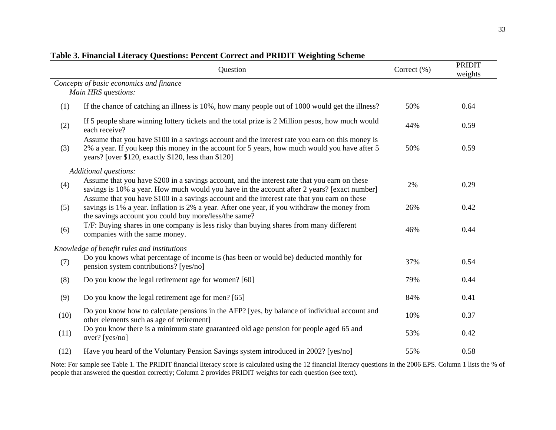|      | Question                                                                                                                                                                                                                                                | Correct $(\% )$ | <b>PRIDIT</b><br>weights |
|------|---------------------------------------------------------------------------------------------------------------------------------------------------------------------------------------------------------------------------------------------------------|-----------------|--------------------------|
|      | Concepts of basic economics and finance<br>Main HRS questions:                                                                                                                                                                                          |                 |                          |
| (1)  | If the chance of catching an illness is 10%, how many people out of 1000 would get the illness?                                                                                                                                                         | 50%             | 0.64                     |
| (2)  | If 5 people share winning lottery tickets and the total prize is 2 Million pesos, how much would<br>each receive?                                                                                                                                       | 44%             | 0.59                     |
| (3)  | Assume that you have \$100 in a savings account and the interest rate you earn on this money is<br>2% a year. If you keep this money in the account for 5 years, how much would you have after 5<br>years? [over \$120, exactly \$120, less than \$120] | 50%             | 0.59                     |
|      | Additional questions:                                                                                                                                                                                                                                   |                 |                          |
| (4)  | Assume that you have \$200 in a savings account, and the interest rate that you earn on these<br>savings is 10% a year. How much would you have in the account after 2 years? [exact number]                                                            | 2%              | 0.29                     |
| (5)  | Assume that you have \$100 in a savings account and the interest rate that you earn on these<br>savings is 1% a year. Inflation is 2% a year. After one year, if you withdraw the money from<br>the savings account you could buy more/less/the same?   | 26%             | 0.42                     |
| (6)  | T/F: Buying shares in one company is less risky than buying shares from many different<br>companies with the same money.                                                                                                                                | 46%             | 0.44                     |
|      | Knowledge of benefit rules and institutions                                                                                                                                                                                                             |                 |                          |
| (7)  | Do you knows what percentage of income is (has been or would be) deducted monthly for<br>pension system contributions? [yes/no]                                                                                                                         | 37%             | 0.54                     |
| (8)  | Do you know the legal retirement age for women? [60]                                                                                                                                                                                                    | 79%             | 0.44                     |
| (9)  | Do you know the legal retirement age for men? [65]                                                                                                                                                                                                      | 84%             | 0.41                     |
| (10) | Do you know how to calculate pensions in the AFP? [yes, by balance of individual account and<br>other elements such as age of retirement]                                                                                                               | 10%             | 0.37                     |
| (11) | Do you know there is a minimum state guaranteed old age pension for people aged 65 and<br>over? [yes/no]                                                                                                                                                | 53%             | 0.42                     |
| (12) | Have you heard of the Voluntary Pension Savings system introduced in 2002? [yes/no]                                                                                                                                                                     | 55%             | 0.58                     |

# **Table 3. Financial Literacy Questions: Percent Correct and PRIDIT Weighting Scheme**

Note: For sample see Table 1. The PRIDIT financial literacy score is calculated using the 12 financial literacy questions in the 2006 EPS. Column 1 lists the % of people that answered the question correctly; Column 2 provides PRIDIT weights for each question (see text).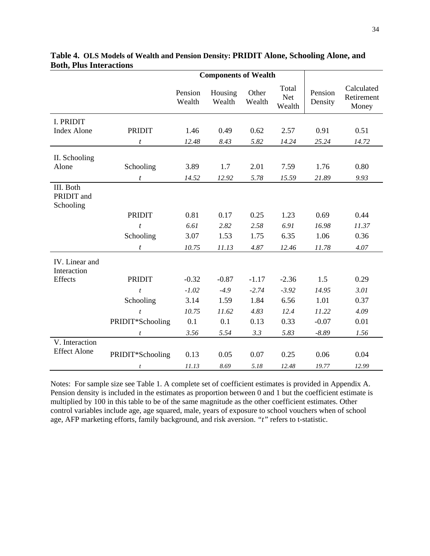|                                      |                  | <b>Components of Wealth</b> |                   |                 |                               |                    |                                   |
|--------------------------------------|------------------|-----------------------------|-------------------|-----------------|-------------------------------|--------------------|-----------------------------------|
|                                      |                  | Pension<br>Wealth           | Housing<br>Wealth | Other<br>Wealth | Total<br><b>Net</b><br>Wealth | Pension<br>Density | Calculated<br>Retirement<br>Money |
| I. PRIDIT                            |                  |                             |                   |                 |                               |                    |                                   |
| <b>Index Alone</b>                   | <b>PRIDIT</b>    | 1.46                        | 0.49              | 0.62            | 2.57                          | 0.91               | 0.51                              |
|                                      | $\boldsymbol{t}$ | 12.48                       | 8.43              | 5.82            | 14.24                         | 25.24              | 14.72                             |
| II. Schooling                        |                  |                             |                   |                 |                               |                    |                                   |
| Alone                                | Schooling        | 3.89                        | 1.7               | 2.01            | 7.59                          | 1.76               | 0.80                              |
|                                      | $\boldsymbol{t}$ | 14.52                       | 12.92             | 5.78            | 15.59                         | 21.89              | 9.93                              |
| III. Both<br>PRIDIT and<br>Schooling |                  |                             |                   |                 |                               |                    |                                   |
|                                      | <b>PRIDIT</b>    | 0.81                        | 0.17              | 0.25            | 1.23                          | 0.69               | 0.44                              |
|                                      | $\boldsymbol{t}$ | 6.61                        | 2.82              | 2.58            | 6.91                          | 16.98              | 11.37                             |
|                                      | Schooling        | 3.07                        | 1.53              | 1.75            | 6.35                          | 1.06               | 0.36                              |
|                                      | $\boldsymbol{t}$ | 10.75                       | 11.13             | 4.87            | 12.46                         | 11.78              | 4.07                              |
| IV. Linear and<br>Interaction        |                  |                             |                   |                 |                               |                    |                                   |
| Effects                              | <b>PRIDIT</b>    | $-0.32$                     | $-0.87$           | $-1.17$         | $-2.36$                       | 1.5                | 0.29                              |
|                                      | $\boldsymbol{t}$ | $-1.02$                     | $-4.9$            | $-2.74$         | $-3.92$                       | 14.95              | 3.01                              |
|                                      | Schooling        | 3.14                        | 1.59              | 1.84            | 6.56                          | 1.01               | 0.37                              |
|                                      | $\boldsymbol{t}$ | 10.75                       | 11.62             | 4.83            | 12.4                          | 11.22              | 4.09                              |
|                                      | PRIDIT*Schooling | 0.1                         | 0.1               | 0.13            | 0.33                          | $-0.07$            | 0.01                              |
|                                      | $\boldsymbol{t}$ | 3.56                        | 5.54              | 3.3             | 5.83                          | $-8.89$            | 1.56                              |
| V. Interaction                       |                  |                             |                   |                 |                               |                    |                                   |
| <b>Effect Alone</b>                  | PRIDIT*Schooling | 0.13                        | 0.05              | 0.07            | 0.25                          | 0.06               | 0.04                              |
|                                      | $\boldsymbol{t}$ | 11.13                       | 8.69              | 5.18            | 12.48                         | 19.77              | 12.99                             |

### **Table 4. OLS Models of Wealth and Pension Density: PRIDIT Alone, Schooling Alone, and Both, Plus Interactions**

Notes: For sample size see Table 1. A complete set of coefficient estimates is provided in Appendix A. Pension density is included in the estimates as proportion between 0 and 1 but the coefficient estimate is multiplied by 100 in this table to be of the same magnitude as the other coefficient estimates. Other control variables include age, age squared, male, years of exposure to school vouchers when of school age, AFP marketing efforts, family background, and risk aversion. *"t"* refers to t-statistic.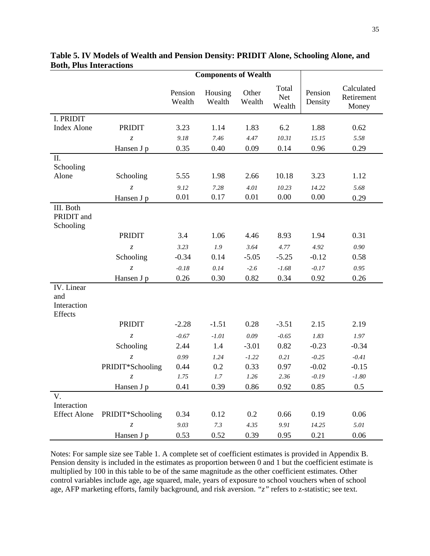|                                             |                               |                   | <b>Components of Wealth</b> |                 |                        |                    |                                   |
|---------------------------------------------|-------------------------------|-------------------|-----------------------------|-----------------|------------------------|--------------------|-----------------------------------|
|                                             |                               | Pension<br>Wealth | Housing<br>Wealth           | Other<br>Wealth | Total<br>Net<br>Wealth | Pension<br>Density | Calculated<br>Retirement<br>Money |
| I. PRIDIT                                   |                               |                   |                             |                 |                        |                    |                                   |
| <b>Index Alone</b>                          | <b>PRIDIT</b>                 | 3.23              | 1.14                        | 1.83            | 6.2                    | 1.88               | 0.62                              |
|                                             | $\ensuremath{\mathnormal{Z}}$ | 9.18              | 7.46                        | 4.47            | 10.31                  | 15.15              | 5.58                              |
|                                             | Hansen J p                    | 0.35              | 0.40                        | 0.09            | 0.14                   | 0.96               | 0.29                              |
| II.<br>Schooling                            |                               |                   |                             |                 |                        |                    |                                   |
| Alone                                       | Schooling                     | 5.55              | 1.98                        | 2.66            | 10.18                  | 3.23               | 1.12                              |
|                                             | Z,                            | 9.12              | 7.28                        | 4.01            | 10.23                  | 14.22              | 5.68                              |
|                                             | Hansen J p                    | 0.01              | 0.17                        | 0.01            | 0.00                   | 0.00               | 0.29                              |
| III. Both<br>PRIDIT and<br>Schooling        |                               |                   |                             |                 |                        |                    |                                   |
|                                             | <b>PRIDIT</b>                 | 3.4               | 1.06                        | 4.46            | 8.93                   | 1.94               | 0.31                              |
|                                             | $\overline{z}$                | 3.23              | 1.9                         | 3.64            | 4.77                   | 4.92               | 0.90                              |
|                                             | Schooling                     | $-0.34$           | 0.14                        | $-5.05$         | $-5.25$                | $-0.12$            | 0.58                              |
|                                             | $\ensuremath{\mathnormal{Z}}$ | $-0.18$           | 0.14                        | $-2.6$          | $-1.68$                | $-0.17$            | 0.95                              |
|                                             | Hansen J p                    | 0.26              | 0.30                        | 0.82            | 0.34                   | 0.92               | 0.26                              |
| IV. Linear<br>and<br>Interaction<br>Effects |                               |                   |                             |                 |                        |                    |                                   |
|                                             | <b>PRIDIT</b>                 | $-2.28$           | $-1.51$                     | 0.28            | $-3.51$                | 2.15               | 2.19                              |
|                                             | $\overline{z}$                | $-0.67$           | $-1.01$                     | 0.09            | $-0.65$                | 1.83               | 1.97                              |
|                                             | Schooling                     | 2.44              | 1.4                         | $-3.01$         | 0.82                   | $-0.23$            | $-0.34$                           |
|                                             | $\ensuremath{\mathnormal{Z}}$ | 0.99              | 1.24                        | $-1.22$         | 0.21                   | $-0.25$            | $-0.41$                           |
|                                             | PRIDIT*Schooling              | 0.44              | 0.2                         | 0.33            | 0.97                   | $-0.02$            | $-0.15$                           |
|                                             | Z.                            | 1.75              | $1.7\,$                     | $1.26\,$        | 2.36                   | $-0.19$            | $-1.80\,$                         |
|                                             | Hansen J p                    | 0.41              | 0.39                        | 0.86            | 0.92                   | 0.85               | 0.5                               |
| V.<br>Interaction                           |                               |                   |                             |                 |                        |                    |                                   |
| <b>Effect Alone</b>                         | PRIDIT*Schooling              | 0.34              | 0.12                        | 0.2             | 0.66                   | 0.19               | 0.06                              |
|                                             | $\ensuremath{\mathnormal{Z}}$ | 9.03              | 7.3                         | 4.35            | 9.91                   | 14.25              | 5.01                              |
|                                             | Hansen J p                    | 0.53              | 0.52                        | 0.39            | 0.95                   | 0.21               | 0.06                              |

### **Table 5. IV Models of Wealth and Pension Density: PRIDIT Alone, Schooling Alone, and Both, Plus Interactions**

Notes: For sample size see Table 1. A complete set of coefficient estimates is provided in Appendix B. Pension density is included in the estimates as proportion between 0 and 1 but the coefficient estimate is multiplied by 100 in this table to be of the same magnitude as the other coefficient estimates. Other control variables include age, age squared, male, years of exposure to school vouchers when of school age, AFP marketing efforts, family background, and risk aversion. *"z"* refers to z-statistic; see text.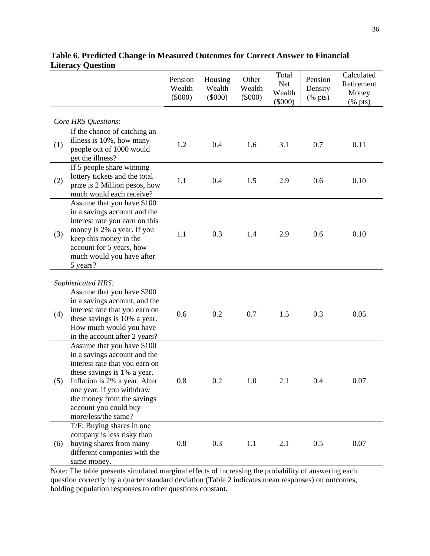|     |                                                                                                                                                                                                                                                                         | Pension<br>Wealth<br>$(\$000)$ | Housing<br>Wealth<br>$(\$000)$ | Other<br>Wealth<br>$(\$000)$ | Total<br>Net<br>Wealth<br>$(\$000)$ | Pension<br>Density<br>$(% \mathbf{A})$ (% pts) | Calculated<br>Retirement<br>Money<br>$(% \mathbf{A})$ (% pts) |
|-----|-------------------------------------------------------------------------------------------------------------------------------------------------------------------------------------------------------------------------------------------------------------------------|--------------------------------|--------------------------------|------------------------------|-------------------------------------|------------------------------------------------|---------------------------------------------------------------|
|     | Core HRS Questions:                                                                                                                                                                                                                                                     |                                |                                |                              |                                     |                                                |                                                               |
| (1) | If the chance of catching an<br>illness is 10%, how many<br>people out of 1000 would<br>get the illness?                                                                                                                                                                | 1.2                            | 0.4                            | 1.6                          | 3.1                                 | 0.7                                            | 0.11                                                          |
| (2) | If 5 people share winning<br>lottery tickets and the total<br>prize is 2 Million pesos, how<br>much would each receive?                                                                                                                                                 | 1.1                            | 0.4                            | 1.5                          | 2.9                                 | 0.6                                            | 0.10                                                          |
| (3) | Assume that you have \$100<br>in a savings account and the<br>interest rate you earn on this<br>money is 2% a year. If you<br>keep this money in the<br>account for 5 years, how<br>much would you have after<br>5 years?                                               | 1.1                            | 0.3                            | 1.4                          | 2.9                                 | 0.6                                            | 0.10                                                          |
|     | Sophisticated HRS:                                                                                                                                                                                                                                                      |                                |                                |                              |                                     |                                                |                                                               |
| (4) | Assume that you have \$200<br>in a savings account, and the<br>interest rate that you earn on<br>these savings is 10% a year.<br>How much would you have<br>in the account after 2 years?                                                                               | 0.6                            | 0.2                            | 0.7                          | 1.5                                 | 0.3                                            | 0.05                                                          |
| (5) | Assume that you have \$100<br>in a savings account and the<br>interest rate that you earn on<br>these savings is 1% a year.<br>Inflation is 2% a year. After<br>one year, if you withdraw<br>the money from the savings<br>account you could buy<br>more/less/the same? | 0.8                            | 0.2                            | 1.0                          | 2.1                                 | 0.4                                            | 0.07                                                          |
| (6) | T/F: Buying shares in one<br>company is less risky than<br>buying shares from many<br>different companies with the<br>same money.                                                                                                                                       | 0.8                            | 0.3                            | 1.1                          | 2.1                                 | 0.5                                            | 0.07                                                          |

# **Table 6. Predicted Change in Measured Outcomes for Correct Answer to Financial Literacy Question**

Note: The table presents simulated marginal effects of increasing the probability of answering each question correctly by a quarter standard deviation (Table 2 indicates mean responses) on outcomes, holding population responses to other questions constant.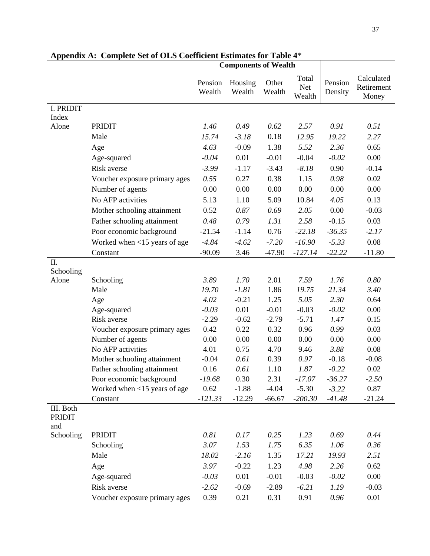|               |                                                            |                   | <b>Components of Wealth</b> |                 |                        |                    |                                   |
|---------------|------------------------------------------------------------|-------------------|-----------------------------|-----------------|------------------------|--------------------|-----------------------------------|
|               |                                                            | Pension<br>Wealth | Housing<br>Wealth           | Other<br>Wealth | Total<br>Net<br>Wealth | Pension<br>Density | Calculated<br>Retirement<br>Money |
| I. PRIDIT     |                                                            |                   |                             |                 |                        |                    |                                   |
| Index         | <b>PRIDIT</b>                                              | 1.46              | 0.49                        | 0.62            | 2.57                   | 0.91               | 0.51                              |
| Alone         | Male                                                       | 15.74             | $-3.18$                     | 0.18            | 12.95                  | 19.22              | 2.27                              |
|               |                                                            | 4.63              | $-0.09$                     | 1.38            | 5.52                   | 2.36               | 0.65                              |
|               | Age                                                        | $-0.04$           | 0.01                        | $-0.01$         | $-0.04$                | $-0.02$            | 0.00                              |
|               | Age-squared<br>Risk averse                                 | $-3.99$           | $-1.17$                     | $-3.43$         | $-8.18$                | 0.90               | $-0.14$                           |
|               |                                                            | 0.55              | 0.27                        | 0.38            | 1.15                   | 0.98               | 0.02                              |
|               | Voucher exposure primary ages                              | 0.00              | 0.00                        | 0.00            | 0.00                   | 0.00               | 0.00                              |
|               | Number of agents<br>No AFP activities                      | 5.13              | 1.10                        | 5.09            | 10.84                  | 4.05               | 0.13                              |
|               |                                                            | 0.52              | 0.87                        | 0.69            | 2.05                   | 0.00               | $-0.03$                           |
|               | Mother schooling attainment<br>Father schooling attainment | 0.48              | 0.79                        | 1.31            | 2.58                   | $-0.15$            | 0.03                              |
|               | Poor economic background                                   | $-21.54$          | $-1.14$                     | 0.76            | $-22.18$               | $-36.35$           | $-2.17$                           |
|               |                                                            | $-4.84$           | $-4.62$                     | $-7.20$         | $-16.90$               | $-5.33$            | 0.08                              |
|               | Worked when $<$ 15 years of age<br>Constant                | $-90.09$          | 3.46                        | $-47.90$        | $-127.14$              | $-22.22$           | $-11.80$                          |
| II.           |                                                            |                   |                             |                 |                        |                    |                                   |
| Schooling     |                                                            |                   |                             |                 |                        |                    |                                   |
| Alone         | Schooling                                                  | 3.89              | 1.70                        | 2.01            | 7.59                   | 1.76               | 0.80                              |
|               | Male                                                       | 19.70             | $-1.81$                     | 1.86            | 19.75                  | 21.34              | 3.40                              |
|               | Age                                                        | 4.02              | $-0.21$                     | 1.25            | 5.05                   | 2.30               | 0.64                              |
|               | Age-squared                                                | $-0.03$           | 0.01                        | $-0.01$         | $-0.03$                | $-0.02$            | 0.00                              |
|               | Risk averse                                                | $-2.29$           | $-0.62$                     | $-2.79$         | $-5.71$                | 1.47               | 0.15                              |
|               | Voucher exposure primary ages                              | 0.42              | 0.22                        | 0.32            | 0.96                   | 0.99               | 0.03                              |
|               | Number of agents                                           | 0.00              | 0.00                        | 0.00            | 0.00                   | 0.00               | 0.00                              |
|               | No AFP activities                                          | 4.01              | 0.75                        | 4.70            | 9.46                   | 3.88               | 0.08                              |
|               | Mother schooling attainment                                | $-0.04$           | 0.61                        | 0.39            | 0.97                   | $-0.18$            | $-0.08$                           |
|               | Father schooling attainment                                | 0.16              | 0.61                        | 1.10            | 1.87                   | $-0.22$            | 0.02                              |
|               | Poor economic background                                   | $-19.68$          | 0.30                        | 2.31            | $-17.07$               | $-36.27$           | $-2.50$                           |
|               | Worked when $<$ 15 years of age                            | 0.62              | $-1.88$                     | $-4.04$         | $-5.30$                | $-3.22$            | 0.87                              |
| III. Both     | Constant                                                   | $-121.33$         | $-12.29$                    | $-66.67$        | $-200.30$              | $-41.48$           | $-21.24$                          |
| PRIDIT<br>and |                                                            |                   |                             |                 |                        |                    |                                   |
| Schooling     | <b>PRIDIT</b>                                              | 0.81              | 0.17                        | 0.25            | 1.23                   | 0.69               | 0.44                              |
|               | Schooling                                                  | 3.07              | 1.53                        | 1.75            | 6.35                   | 1.06               | 0.36                              |
|               | Male                                                       | 18.02             | $-2.16$                     | 1.35            | 17.21                  | 19.93              | 2.51                              |
|               | Age                                                        | 3.97              | $-0.22$                     | 1.23            | 4.98                   | 2.26               | 0.62                              |
|               | Age-squared                                                | $-0.03$           | 0.01                        | $-0.01$         | $-0.03$                | $-0.02$            | 0.00                              |
|               | Risk averse                                                | $-2.62$           | $-0.69$                     | $-2.89$         | $-6.21$                | 1.19               | $-0.03$                           |
|               | Voucher exposure primary ages                              | 0.39              | 0.21                        | 0.31            | 0.91                   | 0.96               | 0.01                              |

# **Appendix A: Complete Set of OLS Coefficient Estimates for Table 4**\*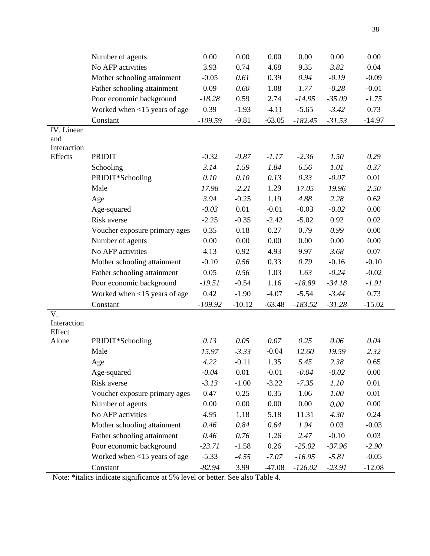|                        | Number of agents                | 0.00      | 0.00     | 0.00     | 0.00      | 0.00     | 0.00     |
|------------------------|---------------------------------|-----------|----------|----------|-----------|----------|----------|
|                        | No AFP activities               | 3.93      | 0.74     | 4.68     | 9.35      | 3.82     | 0.04     |
|                        | Mother schooling attainment     | $-0.05$   | 0.61     | 0.39     | 0.94      | $-0.19$  | $-0.09$  |
|                        | Father schooling attainment     | 0.09      | 0.60     | 1.08     | 1.77      | $-0.28$  | $-0.01$  |
|                        | Poor economic background        | $-18.28$  | 0.59     | 2.74     | $-14.95$  | $-35.09$ | $-1.75$  |
|                        | Worked when $<$ 15 years of age | 0.39      | $-1.93$  | $-4.11$  | $-5.65$   | $-3.42$  | 0.73     |
|                        | Constant                        | $-109.59$ | $-9.81$  | $-63.05$ | $-182.45$ | $-31.53$ | $-14.97$ |
| IV. Linear             |                                 |           |          |          |           |          |          |
| and                    |                                 |           |          |          |           |          |          |
| Interaction<br>Effects | <b>PRIDIT</b>                   | $-0.32$   | $-0.87$  | $-1.17$  | $-2.36$   | 1.50     | 0.29     |
|                        | Schooling                       | 3.14      | 1.59     | 1.84     | 6.56      | 1.01     | 0.37     |
|                        | PRIDIT*Schooling                | 0.10      | 0.10     | 0.13     | 0.33      | $-0.07$  | 0.01     |
|                        | Male                            | 17.98     | $-2.21$  | 1.29     | 17.05     | 19.96    | 2.50     |
|                        | Age                             | 3.94      | $-0.25$  | 1.19     | 4.88      | 2.28     | 0.62     |
|                        | Age-squared                     | $-0.03$   | 0.01     | $-0.01$  | $-0.03$   | $-0.02$  | 0.00     |
|                        | Risk averse                     | $-2.25$   | $-0.35$  | $-2.42$  | $-5.02$   | 0.92     | $0.02\,$ |
|                        | Voucher exposure primary ages   | 0.35      | 0.18     | 0.27     | 0.79      | 0.99     | 0.00     |
|                        | Number of agents                | 0.00      | 0.00     | 0.00     | 0.00      | 0.00     | 0.00     |
|                        | No AFP activities               | 4.13      | 0.92     | 4.93     | 9.97      | 3.68     | 0.07     |
|                        | Mother schooling attainment     | $-0.10$   | 0.56     | 0.33     | 0.79      | $-0.16$  | $-0.10$  |
|                        | Father schooling attainment     | 0.05      | 0.56     | 1.03     | 1.63      | $-0.24$  | $-0.02$  |
|                        | Poor economic background        | $-19.51$  | $-0.54$  | 1.16     | $-18.89$  | $-34.18$ | $-1.91$  |
|                        | Worked when $<$ 15 years of age | 0.42      | $-1.90$  | $-4.07$  | $-5.54$   | $-3.44$  | 0.73     |
|                        | Constant                        | $-109.92$ | $-10.12$ | $-63.48$ | $-183.52$ | $-31.28$ | $-15.02$ |
| V.                     |                                 |           |          |          |           |          |          |
| Interaction<br>Effect  |                                 |           |          |          |           |          |          |
| Alone                  | PRIDIT*Schooling                | 0.13      | 0.05     | 0.07     | 0.25      | 0.06     | 0.04     |
|                        | Male                            | 15.97     | $-3.33$  | $-0.04$  | 12.60     | 19.59    | 2.32     |
|                        | Age                             | 4.22      | $-0.11$  | 1.35     | 5.45      | 2.38     | 0.65     |
|                        | Age-squared                     | $-0.04$   | 0.01     | $-0.01$  | $-0.04$   | $-0.02$  | 0.00     |
|                        | Risk averse                     | $-3.13$   | $-1.00$  | $-3.22$  | $-7.35$   | 1.10     | 0.01     |
|                        | Voucher exposure primary ages   | 0.47      | 0.25     | 0.35     | 1.06      | 1.00     | 0.01     |
|                        | Number of agents                | 0.00      | 0.00     | 0.00     | 0.00      | $0.00\,$ | 0.00     |
|                        | No AFP activities               | 4.95      | 1.18     | 5.18     | 11.31     | 4.30     | 0.24     |
|                        | Mother schooling attainment     | 0.46      | 0.84     | 0.64     | 1.94      | 0.03     | $-0.03$  |
|                        | Father schooling attainment     | 0.46      | 0.76     | 1.26     | 2.47      | $-0.10$  | 0.03     |
|                        | Poor economic background        | $-23.71$  | $-1.58$  | 0.26     | $-25.02$  | $-37.96$ | $-2.90$  |
|                        | Worked when $<$ 15 years of age | $-5.33$   | $-4.55$  | $-7.07$  | $-16.95$  | $-5.81$  | $-0.05$  |
|                        | Constant                        | $-82.94$  | 3.99     | $-47.08$ | $-126.02$ | $-23.91$ | $-12.08$ |

Note: \*italics indicate significance at 5% level or better. See also Table 4.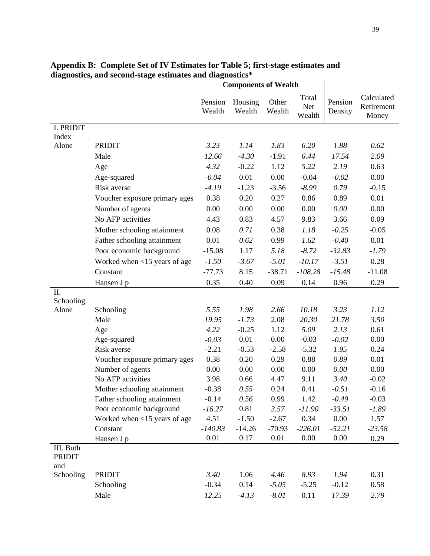|                      |                                 |                   | <b>Components of Wealth</b> |                  |                        |                    |                                   |
|----------------------|---------------------------------|-------------------|-----------------------------|------------------|------------------------|--------------------|-----------------------------------|
|                      |                                 | Pension<br>Wealth | Housing<br>Wealth           | Other<br>Wealth  | Total<br>Net<br>Wealth | Pension<br>Density | Calculated<br>Retirement<br>Money |
| I. PRIDIT            |                                 |                   |                             |                  |                        |                    |                                   |
| Index                |                                 |                   |                             |                  |                        |                    |                                   |
| Alone                | <b>PRIDIT</b>                   | 3.23              | 1.14                        | 1.83             | 6.20                   | 1.88               | 0.62                              |
|                      | Male                            | 12.66             | $-4.30$                     | $-1.91$          | 6.44                   | 17.54              | 2.09                              |
|                      | Age                             | 4.32              | $-0.22$                     | 1.12             | 5.22                   | 2.19               | 0.63                              |
|                      | Age-squared                     | $-0.04$           | 0.01                        | 0.00             | $-0.04$                | $-0.02$            | 0.00                              |
|                      | Risk averse                     | $-4.19$           | $-1.23$                     | $-3.56$          | $-8.99$                | 0.79               | $-0.15$                           |
|                      | Voucher exposure primary ages   | 0.38              | 0.20                        | 0.27             | 0.86                   | 0.89               | 0.01                              |
|                      | Number of agents                | 0.00              | 0.00                        | 0.00             | 0.00                   | 0.00               | 0.00                              |
|                      | No AFP activities               | 4.43              | 0.83                        | 4.57             | 9.83                   | 3.66               | 0.09                              |
|                      | Mother schooling attainment     | 0.08              | 0.71                        | 0.38             | 1.18                   | $-0.25$            | $-0.05$                           |
|                      | Father schooling attainment     | 0.01              | 0.62                        | 0.99             | 1.62                   | $-0.40$            | 0.01                              |
|                      | Poor economic background        | $-15.08$          | 1.17                        | 5.18             | $-8.72$                | $-32.83$           | $-1.79$                           |
|                      | Worked when $<$ 15 years of age | $-1.50$           | $-3.67$                     | $-5.01$          | $-10.17$               | $-3.51$            | 0.28                              |
|                      | Constant                        | $-77.73$          | 8.15                        | $-38.71$         | $-108.28$              | $-15.48$           | $-11.08$                          |
|                      | Hansen J p                      | 0.35              | 0.40                        | 0.09             | 0.14                   | 0.96               | 0.29                              |
| II.                  |                                 |                   |                             |                  |                        |                    |                                   |
| Schooling            |                                 |                   |                             |                  |                        |                    |                                   |
| Alone                | Schooling                       | 5.55              | 1.98                        | 2.66             | 10.18                  | 3.23               | 1.12                              |
|                      | Male                            | 19.95             | $-1.73$                     | 2.08             | 20.30                  | 21.78              | 3.50                              |
|                      | Age                             | 4.22              | $-0.25$                     | 1.12             | 5.09                   | 2.13               | 0.61                              |
|                      | Age-squared                     | $-0.03$           | 0.01                        | 0.00             | $-0.03$                | $-0.02$            | 0.00                              |
|                      | Risk averse                     | $-2.21$           | $-0.53$                     | $-2.58$          | $-5.32$                | 1.95               | 0.24                              |
|                      | Voucher exposure primary ages   | 0.38              | 0.20                        | 0.29             | 0.88                   | 0.89               | 0.01                              |
|                      | Number of agents                | 0.00              | 0.00                        | 0.00             | 0.00                   | 0.00               | 0.00                              |
|                      | No AFP activities               | 3.98              | 0.66                        | 4.47             | 9.11                   | 3.40               | $-0.02$                           |
|                      | Mother schooling attainment     | $-0.38$           | 0.55                        | 0.24             | 0.41                   | $-0.51$            | $-0.16$                           |
|                      | Father schooling attainment     | $-0.14$           | 0.56                        | 0.99             | 1.42                   | $-0.49$            | $-0.03$                           |
|                      | Poor economic background        | $-16.27$          | 0.81                        | 3.57             | $-11.90$               | $-33.51$           | $-1.89$                           |
|                      | Worked when $<$ 15 years of age | 4.51              | $-1.50$                     | $-2.67$          | 0.34                   | 0.00               | 1.57                              |
|                      | Constant                        | $-140.83$<br>0.01 | $-14.26$<br>0.17            | $-70.93$<br>0.01 | $-226.01$<br>0.00      | $-52.21$<br>0.00   | $-23.58$                          |
| III. Both            | Hansen J p                      |                   |                             |                  |                        |                    | 0.29                              |
| <b>PRIDIT</b><br>and |                                 |                   |                             |                  |                        |                    |                                   |
| Schooling            | <b>PRIDIT</b>                   | 3.40              | 1.06                        | 4.46             | 8.93                   | 1.94               | 0.31                              |
|                      | Schooling                       | $-0.34$           | 0.14                        | $-5.05$          | $-5.25$                | $-0.12$            | 0.58                              |
|                      | Male                            | 12.25             | $-4.13$                     | $-8.01$          | 0.11                   | 17.39              | 2.79                              |

## **Appendix B: Complete Set of IV Estimates for Table 5; first-stage estimates and diagnostics, and second-stage estimates and diagnostics\***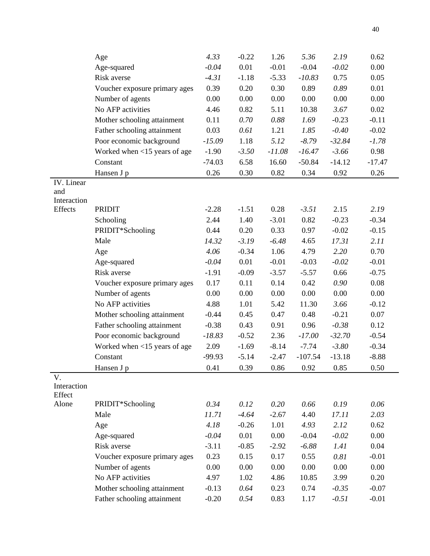|                        | Age                                                        | 4.33     | $-0.22$  | 1.26     | 5.36      | 2.19     | 0.62     |
|------------------------|------------------------------------------------------------|----------|----------|----------|-----------|----------|----------|
|                        | Age-squared                                                | $-0.04$  | 0.01     | $-0.01$  | $-0.04$   | $-0.02$  | 0.00     |
|                        | Risk averse                                                | $-4.31$  | $-1.18$  | $-5.33$  | $-10.83$  | 0.75     | 0.05     |
|                        | Voucher exposure primary ages                              | 0.39     | 0.20     | 0.30     | 0.89      | 0.89     | 0.01     |
|                        | Number of agents                                           | 0.00     | $0.00\,$ | 0.00     | 0.00      | 0.00     | 0.00     |
|                        | No AFP activities                                          | 4.46     | 0.82     | 5.11     | 10.38     | 3.67     | 0.02     |
|                        | Mother schooling attainment                                | 0.11     | 0.70     | 0.88     | 1.69      | $-0.23$  | $-0.11$  |
|                        | Father schooling attainment                                | 0.03     | 0.61     | 1.21     | 1.85      | $-0.40$  | $-0.02$  |
|                        | Poor economic background                                   | $-15.09$ | 1.18     | 5.12     | $-8.79$   | $-32.84$ | $-1.78$  |
|                        | Worked when $<$ 15 years of age                            | $-1.90$  | $-3.50$  | $-11.08$ | $-16.47$  | $-3.66$  | 0.98     |
|                        | Constant                                                   | $-74.03$ | 6.58     | 16.60    | $-50.84$  | $-14.12$ | $-17.47$ |
|                        | Hansen J p                                                 | 0.26     | 0.30     | 0.82     | 0.34      | 0.92     | 0.26     |
| IV. Linear             |                                                            |          |          |          |           |          |          |
| and                    |                                                            |          |          |          |           |          |          |
| Interaction<br>Effects | <b>PRIDIT</b>                                              | $-2.28$  | $-1.51$  | 0.28     | $-3.51$   | 2.15     | 2.19     |
|                        | Schooling                                                  | 2.44     | 1.40     | $-3.01$  | 0.82      | $-0.23$  | $-0.34$  |
|                        | PRIDIT*Schooling                                           | 0.44     | 0.20     | 0.33     | 0.97      | $-0.02$  | $-0.15$  |
|                        | Male                                                       | 14.32    | $-3.19$  | $-6.48$  | 4.65      | 17.31    | 2.11     |
|                        | Age                                                        | 4.06     | $-0.34$  | 1.06     | 4.79      | 2.20     | 0.70     |
|                        | Age-squared                                                | $-0.04$  | 0.01     | $-0.01$  | $-0.03$   | $-0.02$  | $-0.01$  |
|                        | Risk averse                                                | $-1.91$  | $-0.09$  | $-3.57$  | $-5.57$   | 0.66     | $-0.75$  |
|                        | Voucher exposure primary ages                              | 0.17     | 0.11     | 0.14     | 0.42      | 0.90     | 0.08     |
|                        | Number of agents                                           | 0.00     | 0.00     | 0.00     | 0.00      | 0.00     | 0.00     |
|                        | No AFP activities                                          | 4.88     | 1.01     | 5.42     | 11.30     | 3.66     | $-0.12$  |
|                        |                                                            | $-0.44$  | 0.45     | 0.47     | 0.48      | $-0.21$  | 0.07     |
|                        | Mother schooling attainment<br>Father schooling attainment | $-0.38$  | 0.43     | 0.91     | 0.96      | $-0.38$  | 0.12     |
|                        | Poor economic background                                   | $-18.83$ | $-0.52$  | 2.36     | $-17.00$  | $-32.70$ | $-0.54$  |
|                        |                                                            | 2.09     | $-1.69$  | $-8.14$  | $-7.74$   | $-3.80$  | $-0.34$  |
|                        | Worked when $<$ 15 years of age<br>Constant                | $-99.93$ | $-5.14$  | $-2.47$  | $-107.54$ | $-13.18$ | $-8.88$  |
|                        |                                                            | 0.41     |          |          |           |          |          |
| V.                     | Hansen J p                                                 |          | 0.39     | 0.86     | 0.92      | 0.85     | 0.50     |
| Interaction            |                                                            |          |          |          |           |          |          |
| Effect                 |                                                            |          |          |          |           |          |          |
| Alone                  | PRIDIT*Schooling                                           | 0.34     | 0.12     | 0.20     | 0.66      | 0.19     | 0.06     |
|                        | Male                                                       | 11.71    | $-4.64$  | $-2.67$  | 4.40      | 17.11    | 2.03     |
|                        | Age                                                        | 4.18     | $-0.26$  | 1.01     | 4.93      | 2.12     | 0.62     |
|                        | Age-squared                                                | $-0.04$  | 0.01     | 0.00     | $-0.04$   | $-0.02$  | 0.00     |
|                        | Risk averse                                                | $-3.11$  | $-0.85$  | $-2.92$  | $-6.88$   | 1.41     | 0.04     |
|                        | Voucher exposure primary ages                              | 0.23     | 0.15     | 0.17     | 0.55      | 0.81     | $-0.01$  |
|                        | Number of agents                                           | 0.00     | 0.00     | 0.00     | 0.00      | $0.00\,$ | 0.00     |
|                        | No AFP activities                                          | 4.97     | 1.02     | 4.86     | 10.85     | 3.99     | 0.20     |
|                        | Mother schooling attainment                                | $-0.13$  | 0.64     | 0.23     | 0.74      | $-0.35$  | $-0.07$  |
|                        | Father schooling attainment                                | $-0.20$  | 0.54     | 0.83     | 1.17      | $-0.51$  | $-0.01$  |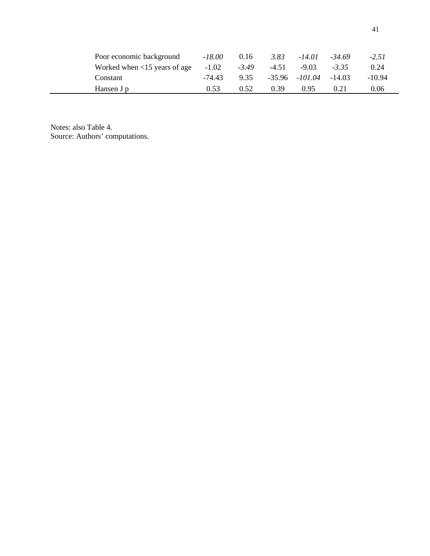| Poor economic background           | -18.00   | 0.16    | 3.83    | -14.01                      | -34.69  | $-2.51$  |
|------------------------------------|----------|---------|---------|-----------------------------|---------|----------|
| Worked when $\leq$ 15 years of age | $-1.02$  | $-3.49$ | $-4.51$ | $-9.03$                     | $-3.35$ | 0.24     |
| Constant                           | $-74.43$ | 9.35    |         | $-35.96$ $-101.04$ $-14.03$ |         | $-10.94$ |
| Hansen J p                         | 0.53     | 0.52    | 0.39    | 0.95                        | 0.21    | 0.06     |
|                                    |          |         |         |                             |         |          |

Notes: also Table 4. Source: Authors' computations.